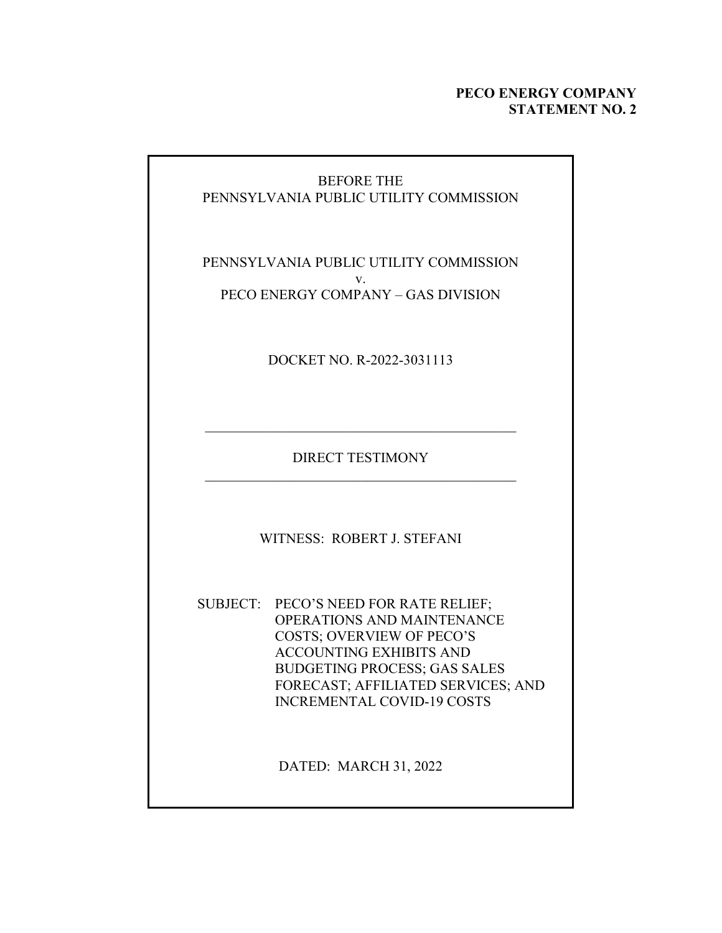### **PECO ENERGY COMPANY STATEMENT NO. 2**

## BEFORE THE PENNSYLVANIA PUBLIC UTILITY COMMISSION

PENNSYLVANIA PUBLIC UTILITY COMMISSION v. PECO ENERGY COMPANY – GAS DIVISION

DOCKET NO. R-2022-3031113

DIRECT TESTIMONY

 $\mathcal{L}_\text{max}$  and  $\mathcal{L}_\text{max}$  and  $\mathcal{L}_\text{max}$  and  $\mathcal{L}_\text{max}$ 

WITNESS: ROBERT J. STEFANI

SUBJECT: PECO'S NEED FOR RATE RELIEF; OPERATIONS AND MAINTENANCE COSTS; OVERVIEW OF PECO'S ACCOUNTING EXHIBITS AND BUDGETING PROCESS; GAS SALES FORECAST; AFFILIATED SERVICES; AND INCREMENTAL COVID-19 COSTS

DATED: MARCH 31, 2022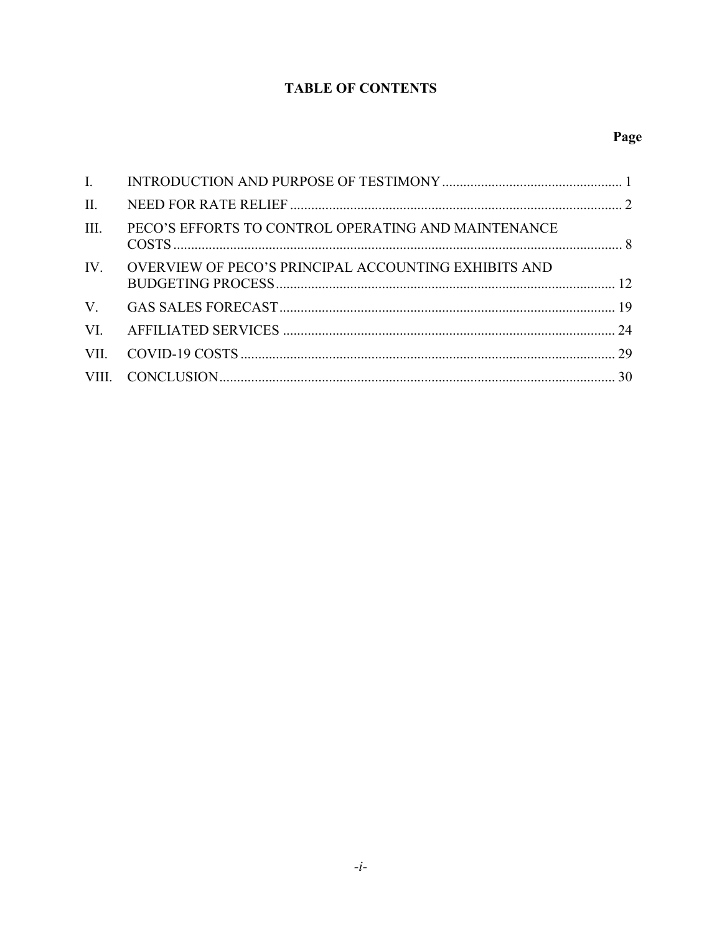# **TABLE OF CONTENTS**

| $\mathbf{I}$ . |                                                          |  |
|----------------|----------------------------------------------------------|--|
| $\prod$ .      |                                                          |  |
| III.           | PECO'S EFFORTS TO CONTROL OPERATING AND MAINTENANCE      |  |
|                | IV. OVERVIEW OF PECO'S PRINCIPAL ACCOUNTING EXHIBITS AND |  |
|                |                                                          |  |
|                |                                                          |  |
| VII.           |                                                          |  |
|                |                                                          |  |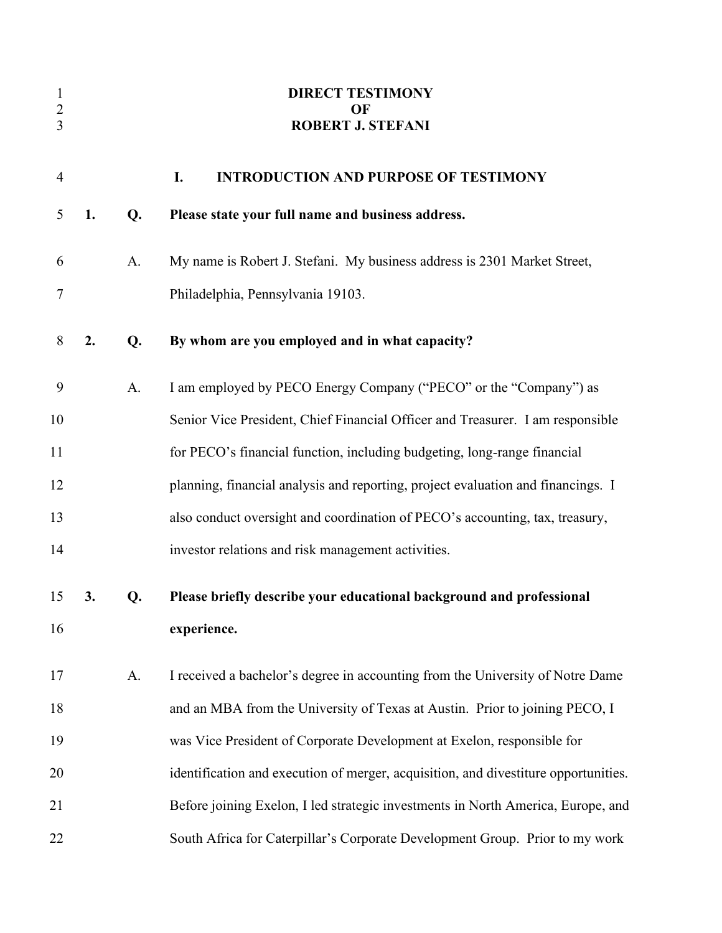| $\mathbf{1}$<br>$\overline{2}$<br>3 |    |    | <b>DIRECT TESTIMONY</b><br>OF<br><b>ROBERT J. STEFANI</b>                           |
|-------------------------------------|----|----|-------------------------------------------------------------------------------------|
|                                     |    |    |                                                                                     |
| $\overline{4}$                      |    |    | <b>INTRODUCTION AND PURPOSE OF TESTIMONY</b><br>I.                                  |
| 5                                   | 1. | Q. | Please state your full name and business address.                                   |
| 6                                   |    | A. | My name is Robert J. Stefani. My business address is 2301 Market Street,            |
| 7                                   |    |    | Philadelphia, Pennsylvania 19103.                                                   |
| 8                                   | 2. | Q. | By whom are you employed and in what capacity?                                      |
| 9                                   |    | A. | I am employed by PECO Energy Company ("PECO" or the "Company") as                   |
| 10                                  |    |    | Senior Vice President, Chief Financial Officer and Treasurer. I am responsible      |
| 11                                  |    |    | for PECO's financial function, including budgeting, long-range financial            |
| 12                                  |    |    | planning, financial analysis and reporting, project evaluation and financings. I    |
| 13                                  |    |    | also conduct oversight and coordination of PECO's accounting, tax, treasury,        |
| 14                                  |    |    | investor relations and risk management activities.                                  |
| 15                                  | 3. | Q. | Please briefly describe your educational background and professional                |
| 16                                  |    |    | experience.                                                                         |
| 17                                  |    | A. | I received a bachelor's degree in accounting from the University of Notre Dame      |
| 18                                  |    |    | and an MBA from the University of Texas at Austin. Prior to joining PECO, I         |
| 19                                  |    |    | was Vice President of Corporate Development at Exelon, responsible for              |
| 20                                  |    |    | identification and execution of merger, acquisition, and divestiture opportunities. |
| 21                                  |    |    | Before joining Exelon, I led strategic investments in North America, Europe, and    |
| 22                                  |    |    | South Africa for Caterpillar's Corporate Development Group. Prior to my work        |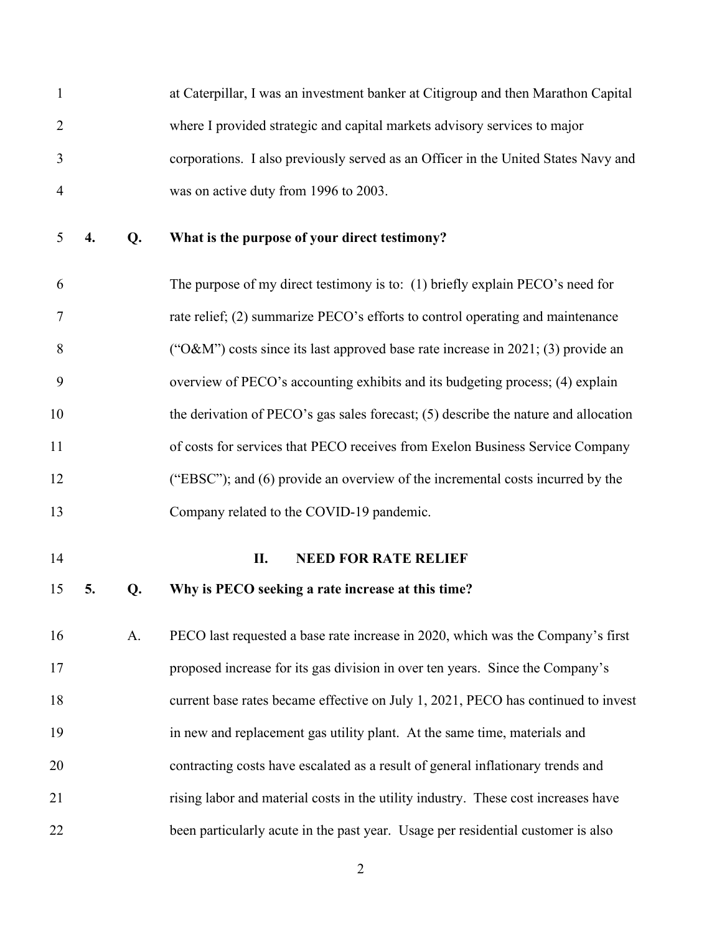1 at Caterpillar, I was an investment banker at Citigroup and then Marathon Capital 2 where I provided strategic and capital markets advisory services to major 3 corporations. I also previously served as an Officer in the United States Navy and 4 was on active duty from 1996 to 2003.

5 **4. Q. What is the purpose of your direct testimony?** 

6 The purpose of my direct testimony is to: (1) briefly explain PECO's need for 7 rate relief; (2) summarize PECO's efforts to control operating and maintenance 8 ("O&M") costs since its last approved base rate increase in 2021; (3) provide an 9 overview of PECO's accounting exhibits and its budgeting process; (4) explain 10 the derivation of PECO's gas sales forecast; (5) describe the nature and allocation 11 of costs for services that PECO receives from Exelon Business Service Company 12 ("EBSC"); and (6) provide an overview of the incremental costs incurred by the 13 Company related to the COVID-19 pandemic.

#### 14 **II. NEED FOR RATE RELIEF**

### 15 **5. Q. Why is PECO seeking a rate increase at this time?**

16 A. PECO last requested a base rate increase in 2020, which was the Company's first 17 proposed increase for its gas division in over ten years. Since the Company's 18 current base rates became effective on July 1, 2021, PECO has continued to invest 19 in new and replacement gas utility plant. At the same time, materials and 20 contracting costs have escalated as a result of general inflationary trends and 21 rising labor and material costs in the utility industry. These cost increases have 22 been particularly acute in the past year. Usage per residential customer is also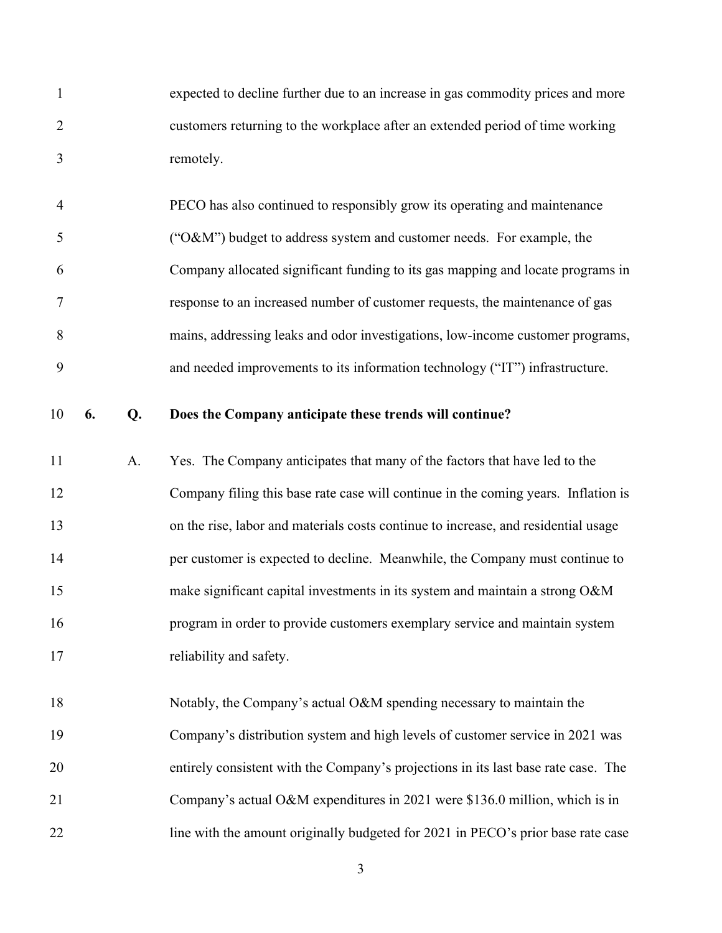1 expected to decline further due to an increase in gas commodity prices and more 2 customers returning to the workplace after an extended period of time working 3 remotely.

4 PECO has also continued to responsibly grow its operating and maintenance 5 ("O&M") budget to address system and customer needs. For example, the 6 Company allocated significant funding to its gas mapping and locate programs in 7 response to an increased number of customer requests, the maintenance of gas 8 mains, addressing leaks and odor investigations, low-income customer programs, 9 and needed improvements to its information technology ("IT") infrastructure.

### 10 **6. Q. Does the Company anticipate these trends will continue?**

11 A. Yes. The Company anticipates that many of the factors that have led to the 12 Company filing this base rate case will continue in the coming years. Inflation is 13 on the rise, labor and materials costs continue to increase, and residential usage 14 per customer is expected to decline. Meanwhile, the Company must continue to 15 make significant capital investments in its system and maintain a strong O&M 16 program in order to provide customers exemplary service and maintain system 17 reliability and safety.

18 Notably, the Company's actual O&M spending necessary to maintain the 19 Company's distribution system and high levels of customer service in 2021 was 20 entirely consistent with the Company's projections in its last base rate case. The 21 Company's actual O&M expenditures in 2021 were \$136.0 million, which is in 22 line with the amount originally budgeted for 2021 in PECO's prior base rate case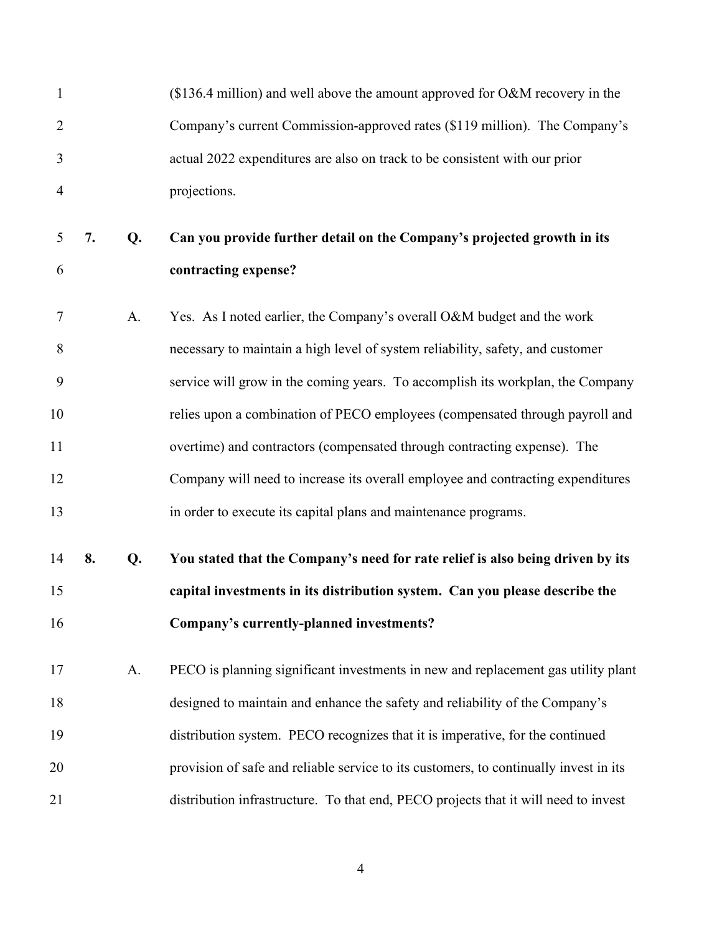| $\mathbf{1}$   |    |    | $($136.4$$ million) and well above the amount approved for O&M recovery in the        |
|----------------|----|----|---------------------------------------------------------------------------------------|
| $\overline{2}$ |    |    | Company's current Commission-approved rates (\$119 million). The Company's            |
| 3              |    |    | actual 2022 expenditures are also on track to be consistent with our prior            |
| $\overline{4}$ |    |    | projections.                                                                          |
| 5              | 7. | Q. | Can you provide further detail on the Company's projected growth in its               |
| 6              |    |    | contracting expense?                                                                  |
| 7              |    | A. | Yes. As I noted earlier, the Company's overall O&M budget and the work                |
| 8              |    |    | necessary to maintain a high level of system reliability, safety, and customer        |
| 9              |    |    | service will grow in the coming years. To accomplish its workplan, the Company        |
| 10             |    |    | relies upon a combination of PECO employees (compensated through payroll and          |
| 11             |    |    | overtime) and contractors (compensated through contracting expense). The              |
| 12             |    |    | Company will need to increase its overall employee and contracting expenditures       |
| 13             |    |    | in order to execute its capital plans and maintenance programs.                       |
| 14             | 8. | Q. | You stated that the Company's need for rate relief is also being driven by its        |
| 15             |    |    | capital investments in its distribution system. Can you please describe the           |
| 16             |    |    | Company's currently-planned investments?                                              |
| 17             |    | A. | PECO is planning significant investments in new and replacement gas utility plant     |
| 18             |    |    | designed to maintain and enhance the safety and reliability of the Company's          |
| 19             |    |    | distribution system. PECO recognizes that it is imperative, for the continued         |
| 20             |    |    | provision of safe and reliable service to its customers, to continually invest in its |
| 21             |    |    | distribution infrastructure. To that end, PECO projects that it will need to invest   |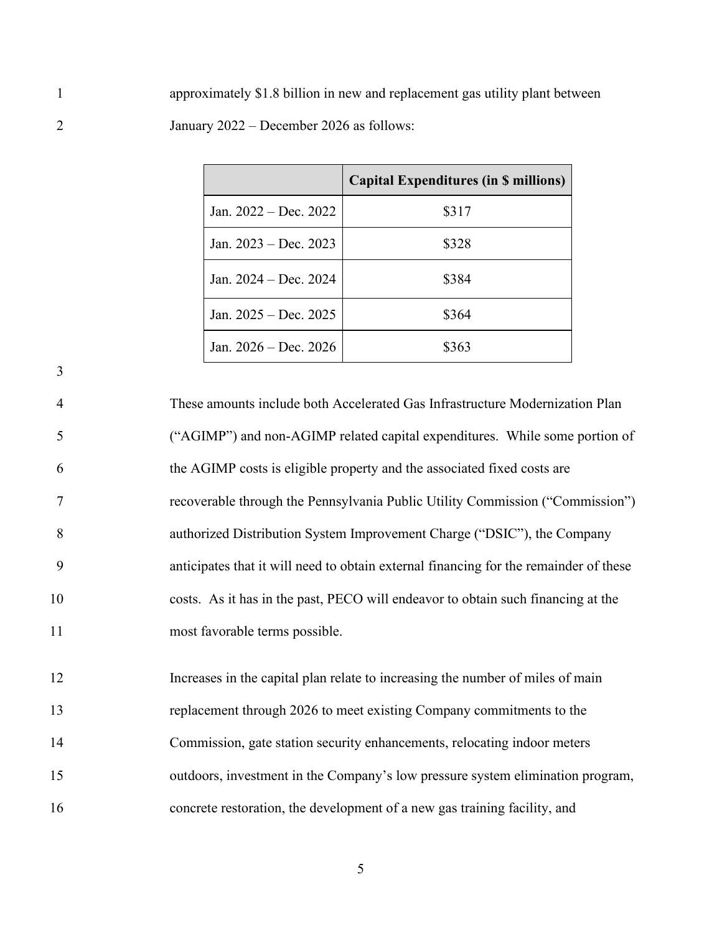1 approximately \$1.8 billion in new and replacement gas utility plant between 2 January 2022 – December 2026 as follows:

|                         | <b>Capital Expenditures (in \$ millions)</b> |
|-------------------------|----------------------------------------------|
| Jan. 2022 – Dec. 2022   | \$317                                        |
| Jan. $2023 - Dec. 2023$ | \$328                                        |
| Jan. 2024 – Dec. 2024   | \$384                                        |
| Jan. $2025 - Dec. 2025$ | \$364                                        |
| Jan. $2026 - Dec. 2026$ | \$363                                        |

4 These amounts include both Accelerated Gas Infrastructure Modernization Plan 5 ("AGIMP") and non-AGIMP related capital expenditures. While some portion of 6 the AGIMP costs is eligible property and the associated fixed costs are 7 recoverable through the Pennsylvania Public Utility Commission ("Commission") 8 authorized Distribution System Improvement Charge ("DSIC"), the Company 9 anticipates that it will need to obtain external financing for the remainder of these 10 costs. As it has in the past, PECO will endeavor to obtain such financing at the 11 most favorable terms possible.

3

12 Increases in the capital plan relate to increasing the number of miles of main 13 replacement through 2026 to meet existing Company commitments to the 14 Commission, gate station security enhancements, relocating indoor meters 15 outdoors, investment in the Company's low pressure system elimination program, 16 concrete restoration, the development of a new gas training facility, and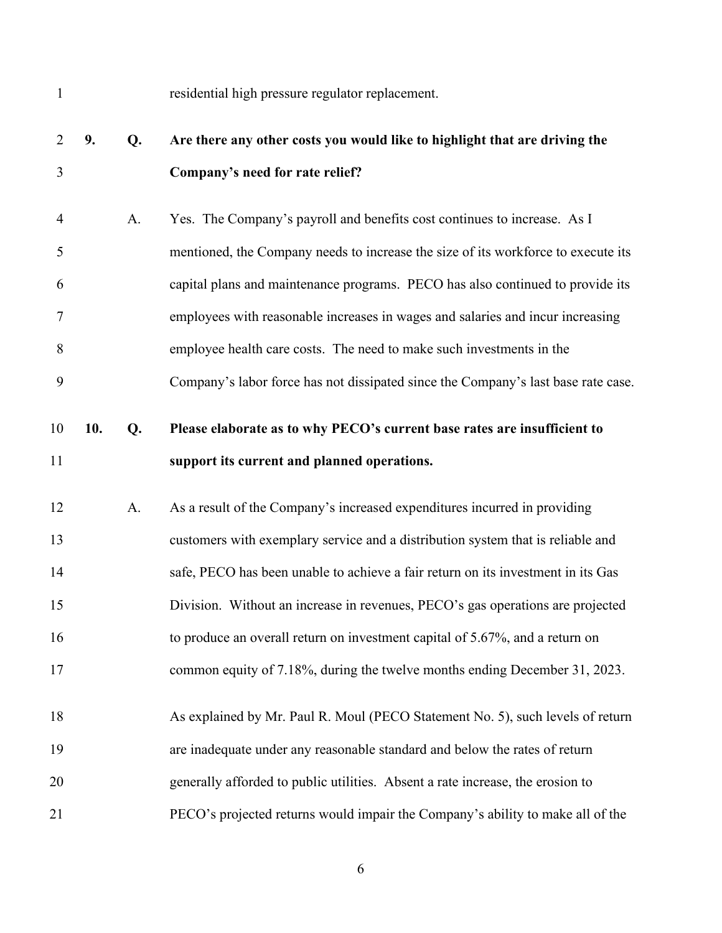| $\mathbf{1}$   |     |    | residential high pressure regulator replacement.                                  |
|----------------|-----|----|-----------------------------------------------------------------------------------|
| $\overline{2}$ | 9.  | Q. | Are there any other costs you would like to highlight that are driving the        |
| 3              |     |    | Company's need for rate relief?                                                   |
| $\overline{4}$ |     | A. | Yes. The Company's payroll and benefits cost continues to increase. As I          |
| 5              |     |    | mentioned, the Company needs to increase the size of its workforce to execute its |
| 6              |     |    | capital plans and maintenance programs. PECO has also continued to provide its    |
| $\overline{7}$ |     |    | employees with reasonable increases in wages and salaries and incur increasing    |
| 8              |     |    | employee health care costs. The need to make such investments in the              |
| 9              |     |    | Company's labor force has not dissipated since the Company's last base rate case. |
| 10             | 10. | Q. | Please elaborate as to why PECO's current base rates are insufficient to          |
| 11             |     |    | support its current and planned operations.                                       |
| 12             |     | A. | As a result of the Company's increased expenditures incurred in providing         |
|                |     |    |                                                                                   |
| 13             |     |    | customers with exemplary service and a distribution system that is reliable and   |
| 14             |     |    | safe, PECO has been unable to achieve a fair return on its investment in its Gas  |
| 15             |     |    | Division. Without an increase in revenues, PECO's gas operations are projected    |
| 16             |     |    | to produce an overall return on investment capital of 5.67%, and a return on      |
| 17             |     |    | common equity of 7.18%, during the twelve months ending December 31, 2023.        |
| 18             |     |    | As explained by Mr. Paul R. Moul (PECO Statement No. 5), such levels of return    |
| 19             |     |    | are inadequate under any reasonable standard and below the rates of return        |
| 20             |     |    | generally afforded to public utilities. Absent a rate increase, the erosion to    |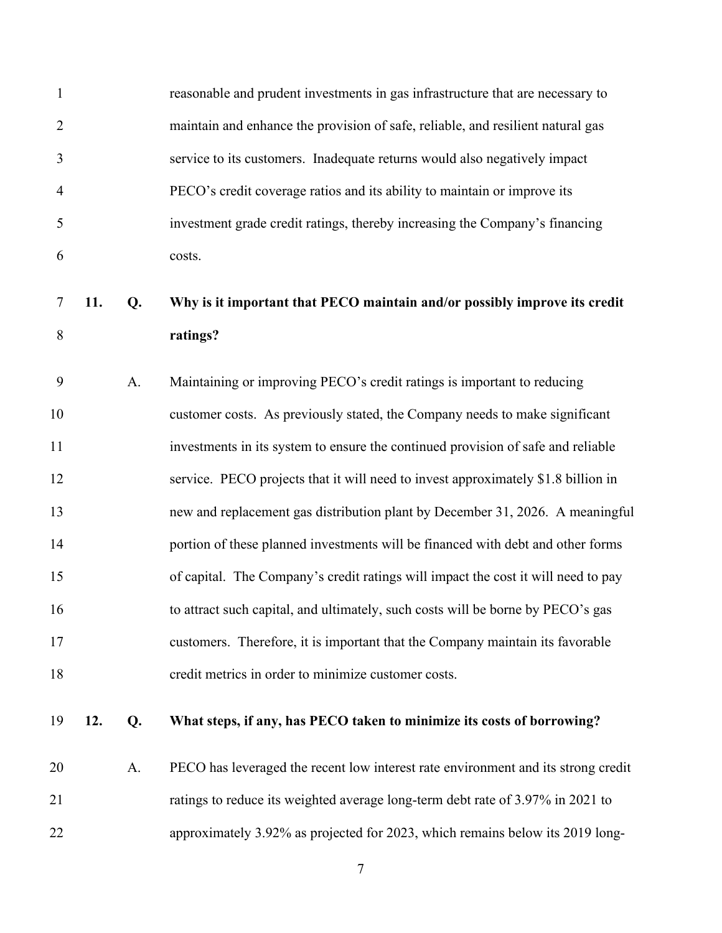| $\mathbf{1}$   |     |    | reasonable and prudent investments in gas infrastructure that are necessary to    |
|----------------|-----|----|-----------------------------------------------------------------------------------|
| $\overline{2}$ |     |    | maintain and enhance the provision of safe, reliable, and resilient natural gas   |
| 3              |     |    | service to its customers. Inadequate returns would also negatively impact         |
| 4              |     |    | PECO's credit coverage ratios and its ability to maintain or improve its          |
| 5              |     |    | investment grade credit ratings, thereby increasing the Company's financing       |
| 6              |     |    | costs.                                                                            |
| 7              | 11. | Q. | Why is it important that PECO maintain and/or possibly improve its credit         |
| 8              |     |    | ratings?                                                                          |
| 9              |     | A. | Maintaining or improving PECO's credit ratings is important to reducing           |
| 10             |     |    | customer costs. As previously stated, the Company needs to make significant       |
| 11             |     |    | investments in its system to ensure the continued provision of safe and reliable  |
| 12             |     |    | service. PECO projects that it will need to invest approximately \$1.8 billion in |
| 13             |     |    | new and replacement gas distribution plant by December 31, 2026. A meaningful     |
| 14             |     |    | portion of these planned investments will be financed with debt and other forms   |
| 15             |     |    | of capital. The Company's credit ratings will impact the cost it will need to pay |
| 16             |     |    | to attract such capital, and ultimately, such costs will be borne by PECO's gas   |
| 17             |     |    | customers. Therefore, it is important that the Company maintain its favorable     |
| 18             |     |    | credit metrics in order to minimize customer costs.                               |
| 19             | 12. | Q. | What steps, if any, has PECO taken to minimize its costs of borrowing?            |
| 20             |     | A. | PECO has leveraged the recent low interest rate environment and its strong credit |
| 21             |     |    | ratings to reduce its weighted average long-term debt rate of 3.97% in 2021 to    |
| 22             |     |    | approximately 3.92% as projected for 2023, which remains below its 2019 long-     |
|                |     |    |                                                                                   |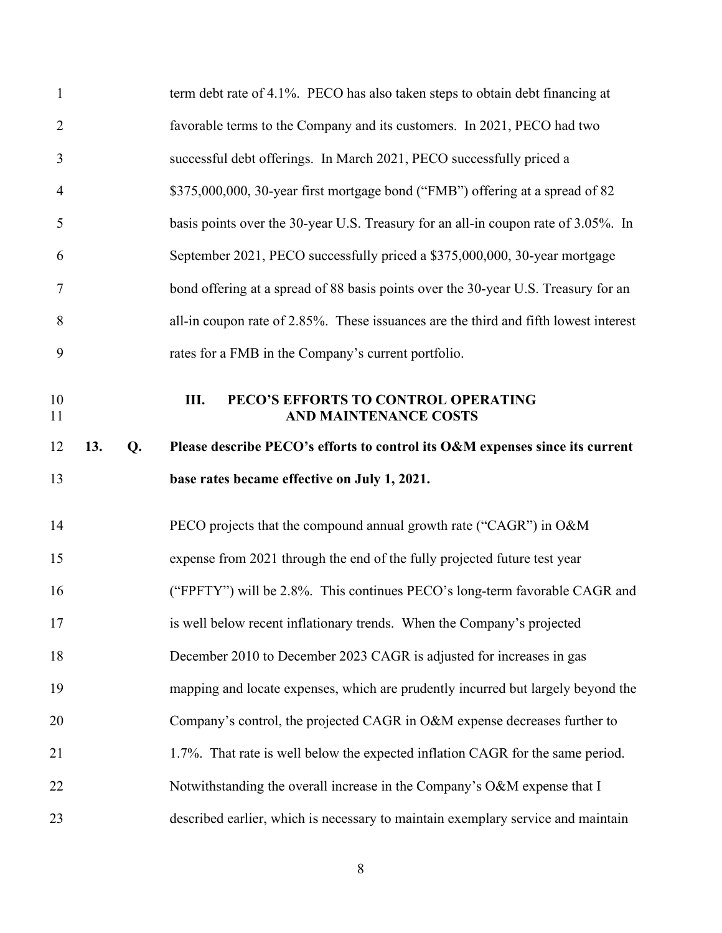| $\mathbf{1}$   |     |    | term debt rate of 4.1%. PECO has also taken steps to obtain debt financing at        |
|----------------|-----|----|--------------------------------------------------------------------------------------|
| $\overline{2}$ |     |    | favorable terms to the Company and its customers. In 2021, PECO had two              |
| 3              |     |    | successful debt offerings. In March 2021, PECO successfully priced a                 |
| $\overline{4}$ |     |    | \$375,000,000, 30-year first mortgage bond ("FMB") offering at a spread of 82        |
| 5              |     |    | basis points over the 30-year U.S. Treasury for an all-in coupon rate of 3.05%. In   |
| 6              |     |    | September 2021, PECO successfully priced a \$375,000,000, 30-year mortgage           |
| $\tau$         |     |    | bond offering at a spread of 88 basis points over the 30-year U.S. Treasury for an   |
| 8              |     |    | all-in coupon rate of 2.85%. These issuances are the third and fifth lowest interest |
| 9              |     |    | rates for a FMB in the Company's current portfolio.                                  |
| 10<br>11       |     |    | Ш.<br>PECO'S EFFORTS TO CONTROL OPERATING<br><b>AND MAINTENANCE COSTS</b>            |
|                |     |    |                                                                                      |
| 12             | 13. | Q. | Please describe PECO's efforts to control its O&M expenses since its current         |
| 13             |     |    | base rates became effective on July 1, 2021.                                         |
| 14             |     |    | PECO projects that the compound annual growth rate ("CAGR") in O&M                   |
| 15             |     |    | expense from 2021 through the end of the fully projected future test year            |
| 16             |     |    | ("FPFTY") will be 2.8%. This continues PECO's long-term favorable CAGR and           |
| 17             |     |    | is well below recent inflationary trends. When the Company's projected               |
| 18             |     |    | December 2010 to December 2023 CAGR is adjusted for increases in gas                 |
| 19             |     |    | mapping and locate expenses, which are prudently incurred but largely beyond the     |
| 20             |     |    | Company's control, the projected CAGR in O&M expense decreases further to            |
| 21             |     |    | 1.7%. That rate is well below the expected inflation CAGR for the same period.       |
| 22             |     |    | Notwithstanding the overall increase in the Company's O&M expense that I             |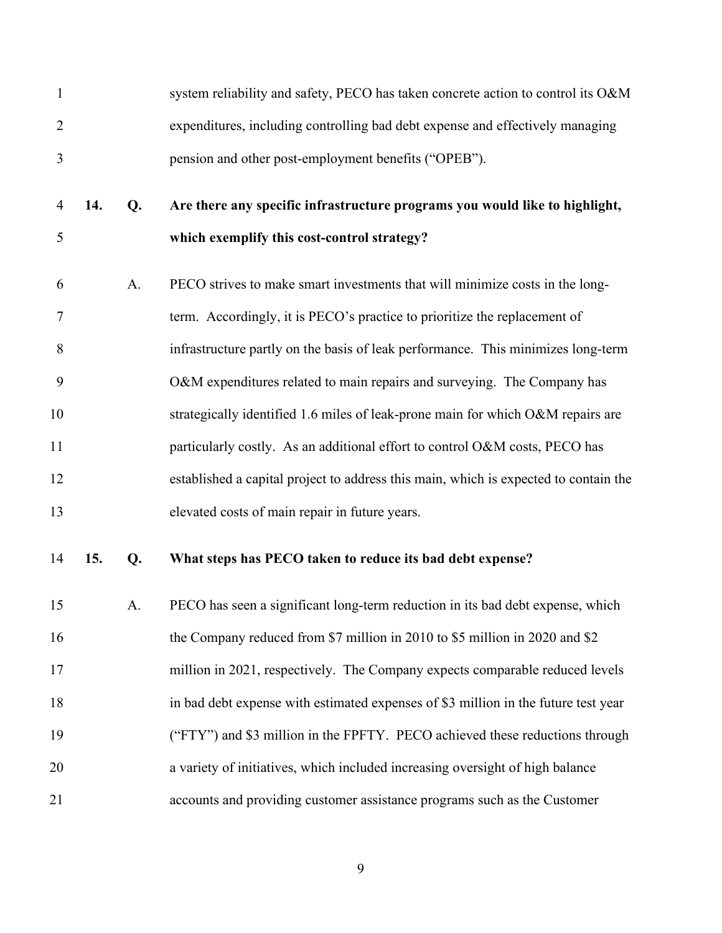| $\mathbf{1}$   |     |    | system reliability and safety, PECO has taken concrete action to control its O&M     |
|----------------|-----|----|--------------------------------------------------------------------------------------|
| $\overline{2}$ |     |    | expenditures, including controlling bad debt expense and effectively managing        |
| 3              |     |    | pension and other post-employment benefits ("OPEB").                                 |
| $\overline{4}$ | 14. | Q. | Are there any specific infrastructure programs you would like to highlight,          |
| 5              |     |    | which exemplify this cost-control strategy?                                          |
| 6              |     | A. | PECO strives to make smart investments that will minimize costs in the long-         |
| 7              |     |    | term. Accordingly, it is PECO's practice to prioritize the replacement of            |
| 8              |     |    | infrastructure partly on the basis of leak performance. This minimizes long-term     |
| 9              |     |    | O&M expenditures related to main repairs and surveying. The Company has              |
| 10             |     |    | strategically identified 1.6 miles of leak-prone main for which O&M repairs are      |
| 11             |     |    | particularly costly. As an additional effort to control O&M costs, PECO has          |
| 12             |     |    | established a capital project to address this main, which is expected to contain the |
| 13             |     |    | elevated costs of main repair in future years.                                       |
| 14             | 15. | Q. | What steps has PECO taken to reduce its bad debt expense?                            |
| 15             |     | A. | PECO has seen a significant long-term reduction in its bad debt expense, which       |
| 16             |     |    | the Company reduced from \$7 million in 2010 to \$5 million in 2020 and \$2          |
| 17             |     |    | million in 2021, respectively. The Company expects comparable reduced levels         |
| 18             |     |    | in bad debt expense with estimated expenses of \$3 million in the future test year   |
| 19             |     |    | ("FTY") and \$3 million in the FPFTY. PECO achieved these reductions through         |
| 20             |     |    | a variety of initiatives, which included increasing oversight of high balance        |
| 21             |     |    | accounts and providing customer assistance programs such as the Customer             |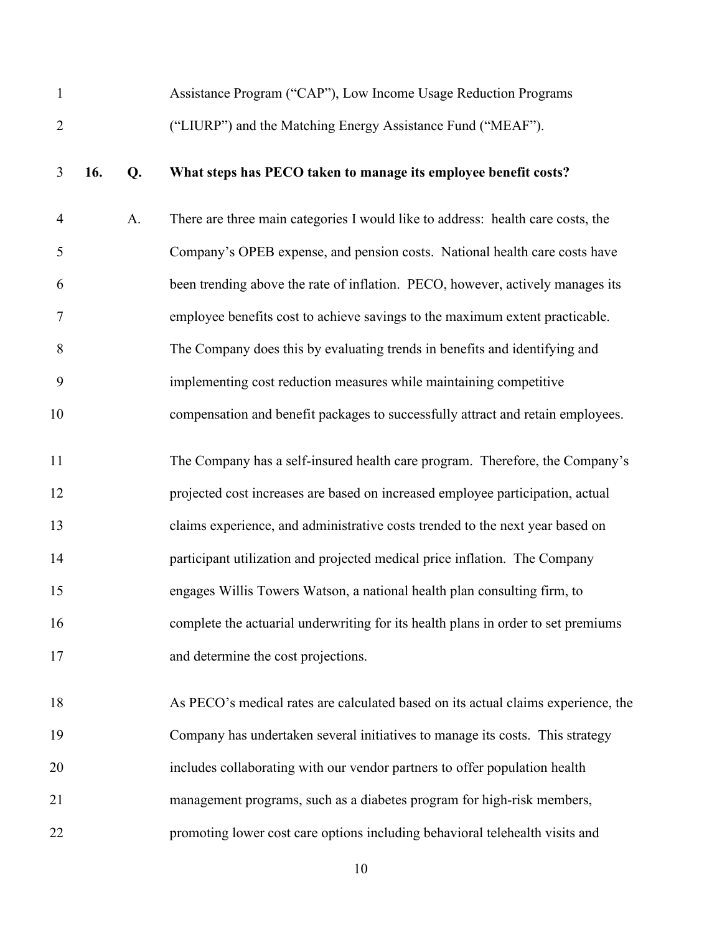| $\mathbf{1}$   |     |    | Assistance Program ("CAP"), Low Income Usage Reduction Programs                   |
|----------------|-----|----|-----------------------------------------------------------------------------------|
| $\overline{2}$ |     |    | ("LIURP") and the Matching Energy Assistance Fund ("MEAF").                       |
| 3              | 16. | Q. | What steps has PECO taken to manage its employee benefit costs?                   |
| $\overline{4}$ |     | A. | There are three main categories I would like to address: health care costs, the   |
| 5              |     |    | Company's OPEB expense, and pension costs. National health care costs have        |
| 6              |     |    | been trending above the rate of inflation. PECO, however, actively manages its    |
| $\tau$         |     |    | employee benefits cost to achieve savings to the maximum extent practicable.      |
| 8              |     |    | The Company does this by evaluating trends in benefits and identifying and        |
| 9              |     |    | implementing cost reduction measures while maintaining competitive                |
| 10             |     |    | compensation and benefit packages to successfully attract and retain employees.   |
| 11             |     |    | The Company has a self-insured health care program. Therefore, the Company's      |
| 12             |     |    | projected cost increases are based on increased employee participation, actual    |
| 13             |     |    | claims experience, and administrative costs trended to the next year based on     |
| 14             |     |    | participant utilization and projected medical price inflation. The Company        |
| 15             |     |    | engages Willis Towers Watson, a national health plan consulting firm, to          |
| 16             |     |    | complete the actuarial underwriting for its health plans in order to set premiums |
| 17             |     |    | and determine the cost projections.                                               |
| 18             |     |    | As PECO's medical rates are calculated based on its actual claims experience, the |
| 19             |     |    | Company has undertaken several initiatives to manage its costs. This strategy     |
| 20             |     |    | includes collaborating with our vendor partners to offer population health        |
| 21             |     |    | management programs, such as a diabetes program for high-risk members,            |
| 22             |     |    | promoting lower cost care options including behavioral telehealth visits and      |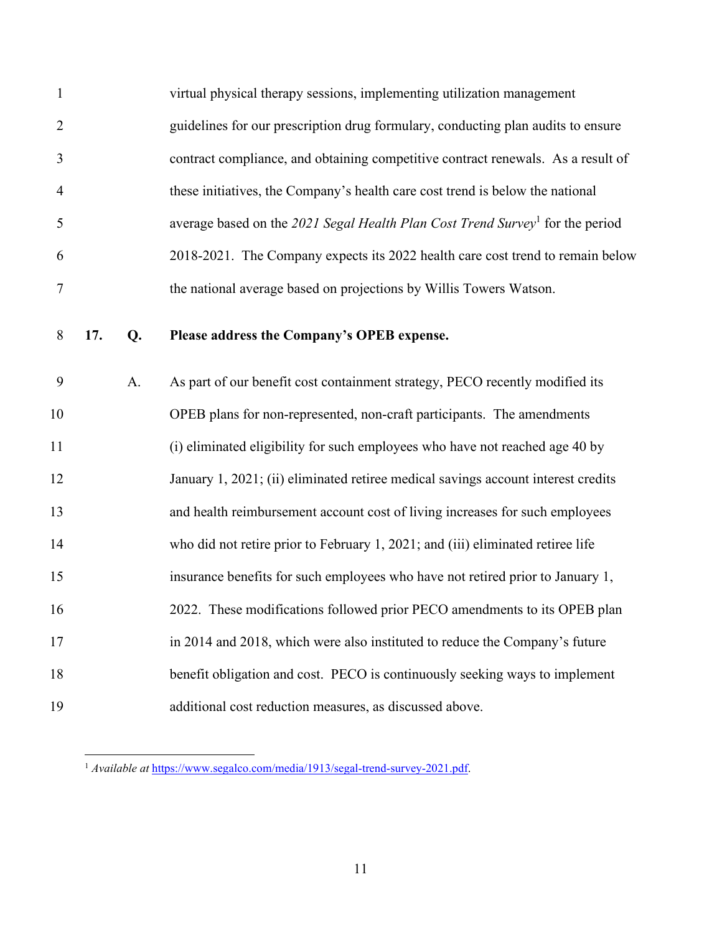| $\mathbf{1}$   |     |    | virtual physical therapy sessions, implementing utilization management                    |
|----------------|-----|----|-------------------------------------------------------------------------------------------|
| $\overline{2}$ |     |    | guidelines for our prescription drug formulary, conducting plan audits to ensure          |
| 3              |     |    | contract compliance, and obtaining competitive contract renewals. As a result of          |
| $\overline{4}$ |     |    | these initiatives, the Company's health care cost trend is below the national             |
| 5              |     |    | average based on the 2021 Segal Health Plan Cost Trend Survey <sup>1</sup> for the period |
| 6              |     |    | 2018-2021. The Company expects its 2022 health care cost trend to remain below            |
| 7              |     |    | the national average based on projections by Willis Towers Watson.                        |
| 8              | 17. | Q. | Please address the Company's OPEB expense.                                                |
| 9              |     | A. | As part of our benefit cost containment strategy, PECO recently modified its              |
| 10             |     |    | OPEB plans for non-represented, non-craft participants. The amendments                    |
| 11             |     |    | (i) eliminated eligibility for such employees who have not reached age 40 by              |
| 12             |     |    | January 1, 2021; (ii) eliminated retiree medical savings account interest credits         |
| 13             |     |    | and health reimbursement account cost of living increases for such employees              |
| 14             |     |    | who did not retire prior to February 1, 2021; and (iii) eliminated retiree life           |
| 15             |     |    | insurance benefits for such employees who have not retired prior to January 1,            |
| 16             |     |    | 2022. These modifications followed prior PECO amendments to its OPEB plan                 |
| 17             |     |    | in 2014 and 2018, which were also instituted to reduce the Company's future               |
| 18             |     |    | benefit obligation and cost. PECO is continuously seeking ways to implement               |
| 19             |     |    | additional cost reduction measures, as discussed above.                                   |

<span id="page-12-0"></span><sup>1</sup> *Available at* https://www.segalco.com/media/1913/segal-trend-survey-2021.pdf.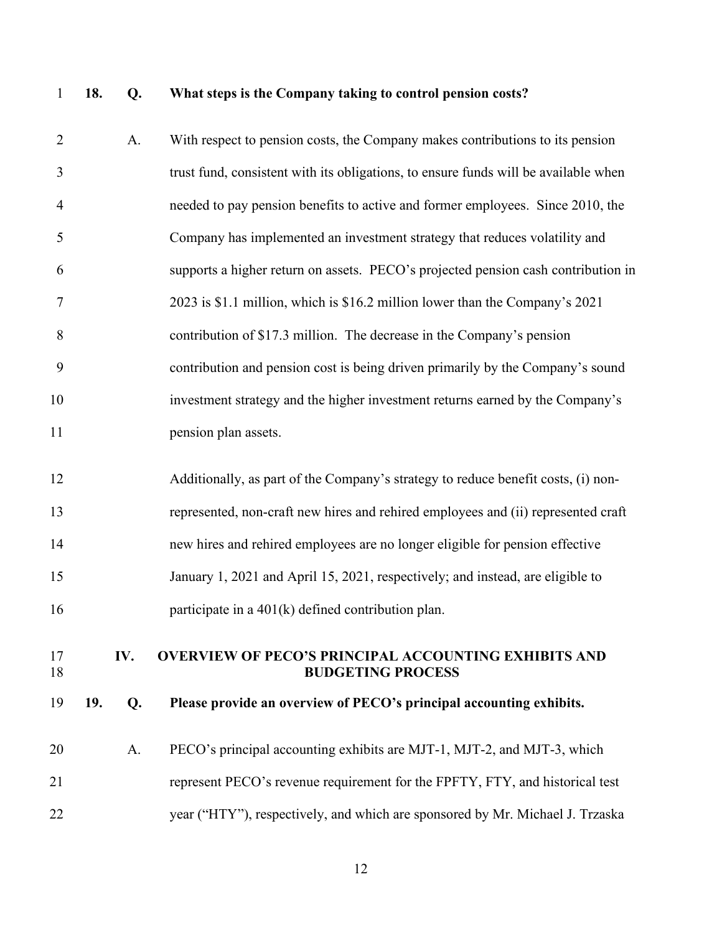# 1 **18. Q. What steps is the Company taking to control pension costs?**

| $\overline{2}$ |     | A.  | With respect to pension costs, the Company makes contributions to its pension           |
|----------------|-----|-----|-----------------------------------------------------------------------------------------|
| 3              |     |     | trust fund, consistent with its obligations, to ensure funds will be available when     |
| $\overline{4}$ |     |     | needed to pay pension benefits to active and former employees. Since 2010, the          |
| 5              |     |     | Company has implemented an investment strategy that reduces volatility and              |
| 6              |     |     | supports a higher return on assets. PECO's projected pension cash contribution in       |
| 7              |     |     | 2023 is \$1.1 million, which is \$16.2 million lower than the Company's 2021            |
| 8              |     |     | contribution of \$17.3 million. The decrease in the Company's pension                   |
| 9              |     |     | contribution and pension cost is being driven primarily by the Company's sound          |
| 10             |     |     | investment strategy and the higher investment returns earned by the Company's           |
| 11             |     |     | pension plan assets.                                                                    |
| 12             |     |     | Additionally, as part of the Company's strategy to reduce benefit costs, (i) non-       |
| 13             |     |     | represented, non-craft new hires and rehired employees and (ii) represented craft       |
| 14             |     |     | new hires and rehired employees are no longer eligible for pension effective            |
| 15             |     |     | January 1, 2021 and April 15, 2021, respectively; and instead, are eligible to          |
| 16             |     |     | participate in a $401(k)$ defined contribution plan.                                    |
|                |     |     |                                                                                         |
| 17<br>18       |     | IV. | <b>OVERVIEW OF PECO'S PRINCIPAL ACCOUNTING EXHIBITS AND</b><br><b>BUDGETING PROCESS</b> |
| 19             | 19. | Q.  | Please provide an overview of PECO's principal accounting exhibits.                     |
| 20             |     | A.  | PECO's principal accounting exhibits are MJT-1, MJT-2, and MJT-3, which                 |
| 21             |     |     | represent PECO's revenue requirement for the FPFTY, FTY, and historical test            |
| 22             |     |     | year ("HTY"), respectively, and which are sponsored by Mr. Michael J. Trzaska           |
|                |     |     |                                                                                         |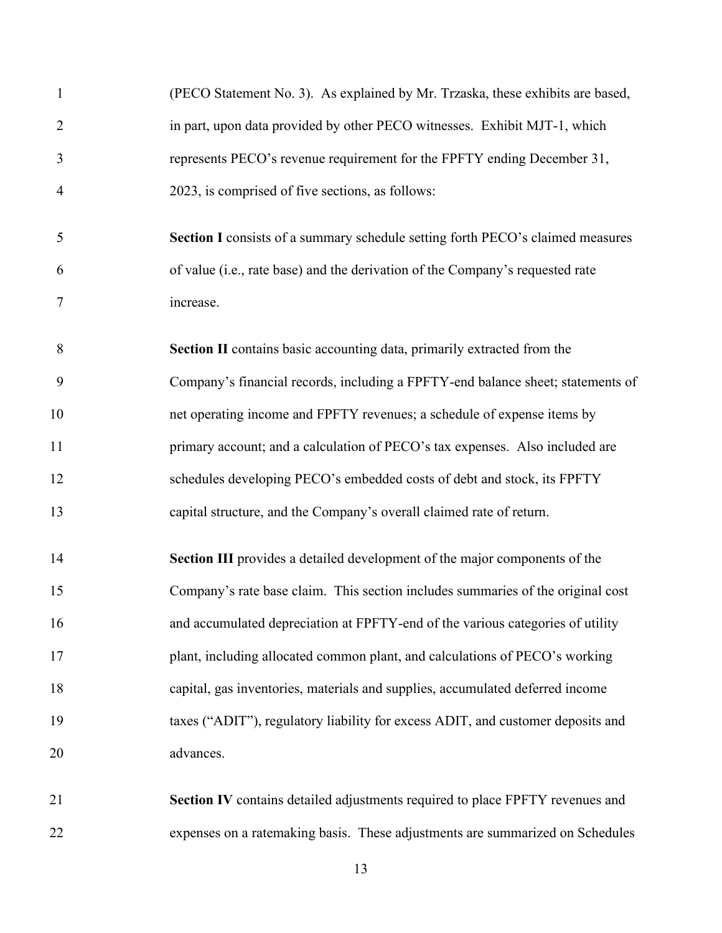| $\mathbf{1}$   | (PECO Statement No. 3). As explained by Mr. Trzaska, these exhibits are based,  |
|----------------|---------------------------------------------------------------------------------|
| $\overline{2}$ | in part, upon data provided by other PECO witnesses. Exhibit MJT-1, which       |
| 3              | represents PECO's revenue requirement for the FPFTY ending December 31,         |
| $\overline{4}$ | 2023, is comprised of five sections, as follows:                                |
| 5              | Section I consists of a summary schedule setting forth PECO's claimed measures  |
| 6              | of value (i.e., rate base) and the derivation of the Company's requested rate   |
| 7              | increase.                                                                       |
| 8              | Section II contains basic accounting data, primarily extracted from the         |
| 9              | Company's financial records, including a FPFTY-end balance sheet; statements of |
| 10             | net operating income and FPFTY revenues; a schedule of expense items by         |
| 11             | primary account; and a calculation of PECO's tax expenses. Also included are    |
| 12             | schedules developing PECO's embedded costs of debt and stock, its FPFTY         |
| 13             | capital structure, and the Company's overall claimed rate of return.            |
| 14             | Section III provides a detailed development of the major components of the      |
| 15             | Company's rate base claim. This section includes summaries of the original cost |
| 16             | and accumulated depreciation at FPFTY-end of the various categories of utility  |
| 17             | plant, including allocated common plant, and calculations of PECO's working     |
| 18             | capital, gas inventories, materials and supplies, accumulated deferred income   |
| 19             | taxes ("ADIT"), regulatory liability for excess ADIT, and customer deposits and |
| 20             | advances.                                                                       |
| 21             | Section IV contains detailed adjustments required to place FPFTY revenues and   |
| 22             | expenses on a ratemaking basis. These adjustments are summarized on Schedules   |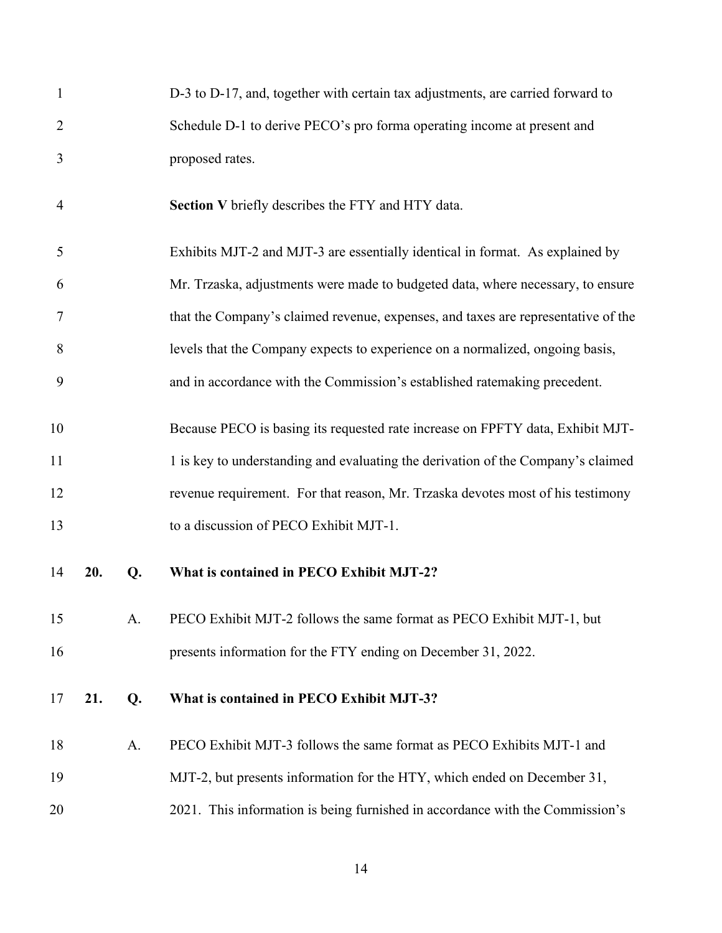| $\mathbf{1}$   |     |    | D-3 to D-17, and, together with certain tax adjustments, are carried forward to   |
|----------------|-----|----|-----------------------------------------------------------------------------------|
| $\overline{2}$ |     |    | Schedule D-1 to derive PECO's pro forma operating income at present and           |
| 3              |     |    | proposed rates.                                                                   |
| $\overline{4}$ |     |    | Section V briefly describes the FTY and HTY data.                                 |
| 5              |     |    | Exhibits MJT-2 and MJT-3 are essentially identical in format. As explained by     |
| 6              |     |    | Mr. Trzaska, adjustments were made to budgeted data, where necessary, to ensure   |
| 7              |     |    | that the Company's claimed revenue, expenses, and taxes are representative of the |
| 8              |     |    | levels that the Company expects to experience on a normalized, ongoing basis,     |
| 9              |     |    | and in accordance with the Commission's established ratemaking precedent.         |
| 10             |     |    | Because PECO is basing its requested rate increase on FPFTY data, Exhibit MJT-    |
| 11             |     |    | 1 is key to understanding and evaluating the derivation of the Company's claimed  |
| 12             |     |    | revenue requirement. For that reason, Mr. Trzaska devotes most of his testimony   |
| 13             |     |    | to a discussion of PECO Exhibit MJT-1.                                            |
| 14             | 20. | Q. | What is contained in PECO Exhibit MJT-2?                                          |
| 15             |     | A. | PECO Exhibit MJT-2 follows the same format as PECO Exhibit MJT-1, but             |
| 16             |     |    | presents information for the FTY ending on December 31, 2022.                     |
| 17             | 21. | Q. | What is contained in PECO Exhibit MJT-3?                                          |
| 18             |     | A. | PECO Exhibit MJT-3 follows the same format as PECO Exhibits MJT-1 and             |
| 19             |     |    | MJT-2, but presents information for the HTY, which ended on December 31,          |
| 20             |     |    | 2021. This information is being furnished in accordance with the Commission's     |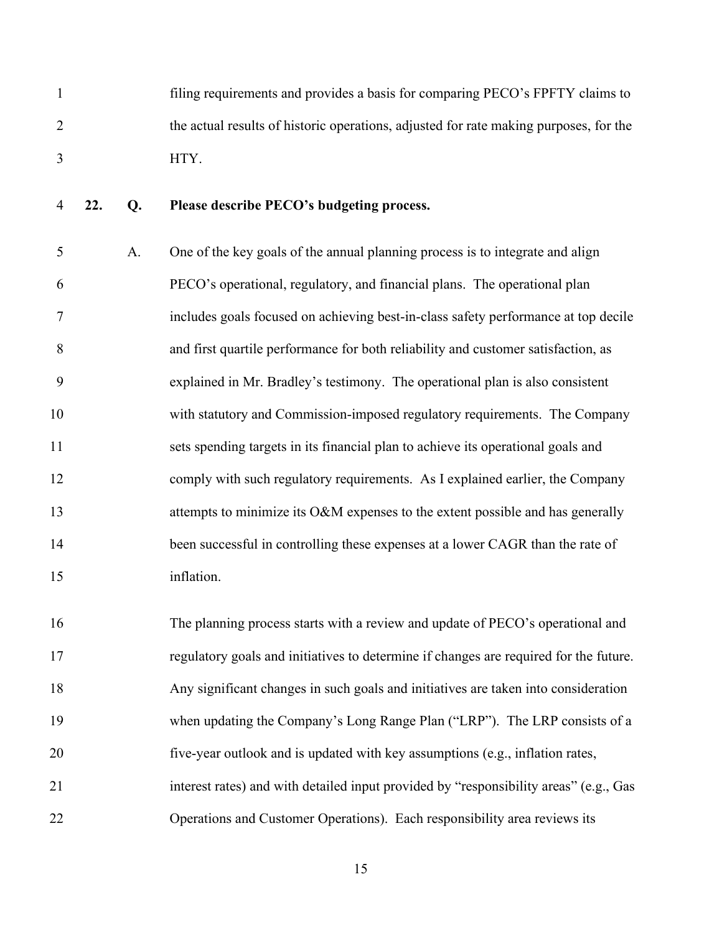1 filing requirements and provides a basis for comparing PECO's FPFTY claims to 2 the actual results of historic operations, adjusted for rate making purposes, for the 3 HTY.

4 **22. Q. Please describe PECO's budgeting process.** 

5 A. One of the key goals of the annual planning process is to integrate and align 6 PECO's operational, regulatory, and financial plans. The operational plan 7 includes goals focused on achieving best-in-class safety performance at top decile 8 and first quartile performance for both reliability and customer satisfaction, as 9 explained in Mr. Bradley's testimony. The operational plan is also consistent 10 with statutory and Commission-imposed regulatory requirements. The Company 11 sets spending targets in its financial plan to achieve its operational goals and 12 comply with such regulatory requirements. As I explained earlier, the Company 13 attempts to minimize its O&M expenses to the extent possible and has generally 14 been successful in controlling these expenses at a lower CAGR than the rate of 15 inflation.

16 The planning process starts with a review and update of PECO's operational and 17 regulatory goals and initiatives to determine if changes are required for the future. 18 Any significant changes in such goals and initiatives are taken into consideration 19 when updating the Company's Long Range Plan ("LRP"). The LRP consists of a 20 five-year outlook and is updated with key assumptions (e.g., inflation rates, 21 interest rates) and with detailed input provided by "responsibility areas" (e.g., Gas 22 Operations and Customer Operations). Each responsibility area reviews its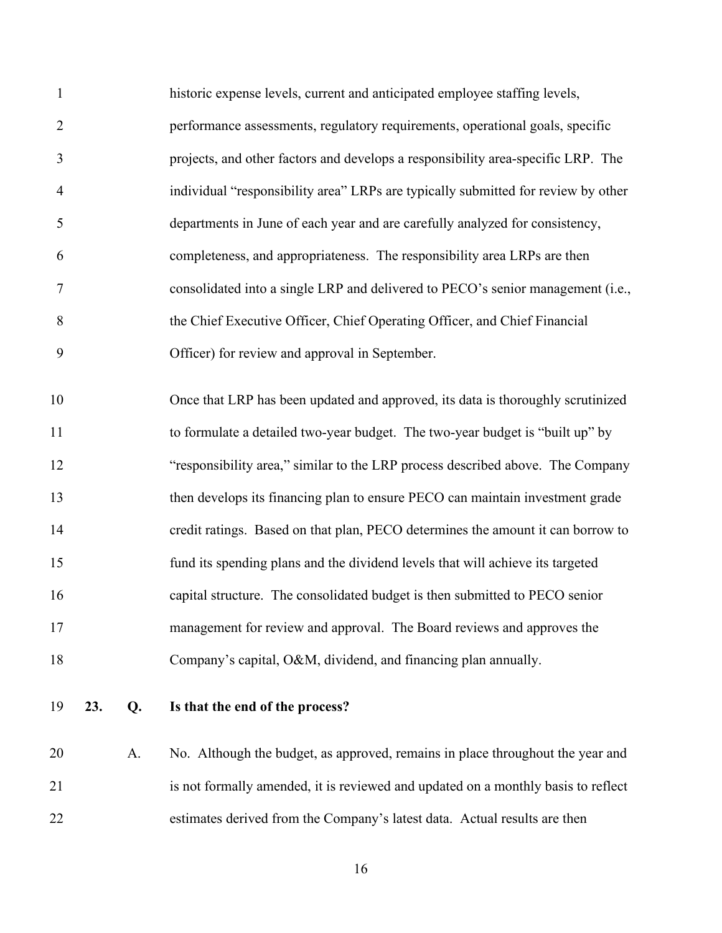| $\mathbf{1}$   |     |    | historic expense levels, current and anticipated employee staffing levels,        |
|----------------|-----|----|-----------------------------------------------------------------------------------|
| $\overline{2}$ |     |    | performance assessments, regulatory requirements, operational goals, specific     |
| 3              |     |    | projects, and other factors and develops a responsibility area-specific LRP. The  |
| $\overline{4}$ |     |    | individual "responsibility area" LRPs are typically submitted for review by other |
| 5              |     |    | departments in June of each year and are carefully analyzed for consistency,      |
| 6              |     |    | completeness, and appropriateness. The responsibility area LRPs are then          |
| 7              |     |    | consolidated into a single LRP and delivered to PECO's senior management (i.e.,   |
| 8              |     |    | the Chief Executive Officer, Chief Operating Officer, and Chief Financial         |
| 9              |     |    | Officer) for review and approval in September.                                    |
| 10             |     |    | Once that LRP has been updated and approved, its data is thoroughly scrutinized   |
| 11             |     |    | to formulate a detailed two-year budget. The two-year budget is "built up" by     |
| 12             |     |    | "responsibility area," similar to the LRP process described above. The Company    |
| 13             |     |    | then develops its financing plan to ensure PECO can maintain investment grade     |
| 14             |     |    | credit ratings. Based on that plan, PECO determines the amount it can borrow to   |
| 15             |     |    | fund its spending plans and the dividend levels that will achieve its targeted    |
| 16             |     |    | capital structure. The consolidated budget is then submitted to PECO senior       |
| 17             |     |    | management for review and approval. The Board reviews and approves the            |
| 18             |     |    | Company's capital, O&M, dividend, and financing plan annually.                    |
| 19             | 23. | Q. | Is that the end of the process?                                                   |

20 A. No. Although the budget, as approved, remains in place throughout the year and 21 is not formally amended, it is reviewed and updated on a monthly basis to reflect 22 estimates derived from the Company's latest data. Actual results are then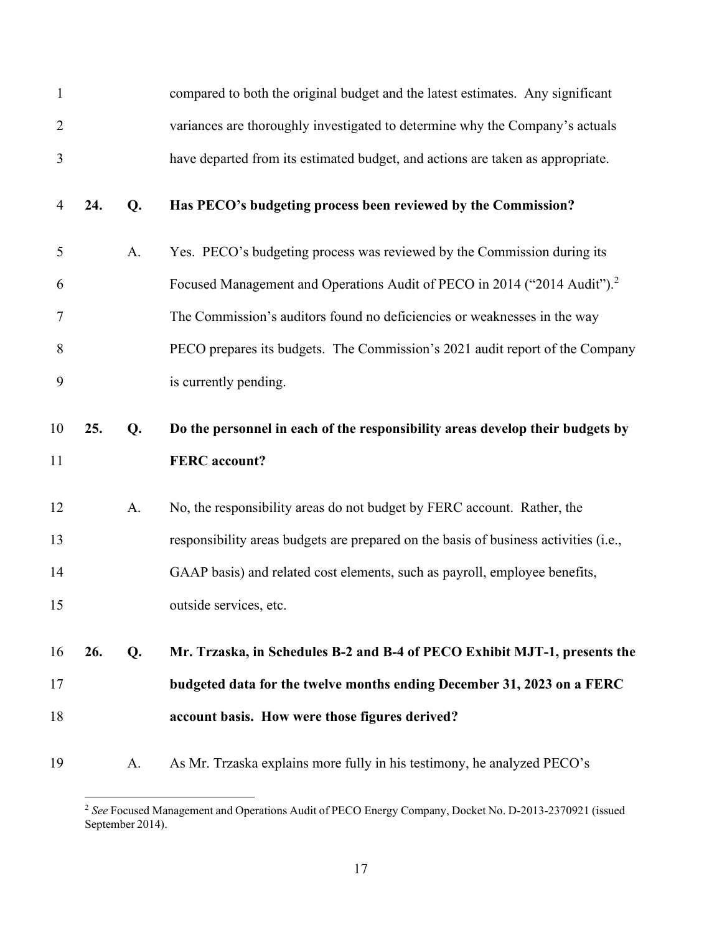| $\mathbf{1}$ |     |    | compared to both the original budget and the latest estimates. Any significant       |
|--------------|-----|----|--------------------------------------------------------------------------------------|
| 2            |     |    | variances are thoroughly investigated to determine why the Company's actuals         |
| 3            |     |    | have departed from its estimated budget, and actions are taken as appropriate.       |
| 4            | 24. | Q. | Has PECO's budgeting process been reviewed by the Commission?                        |
| 5            |     | A. | Yes. PECO's budgeting process was reviewed by the Commission during its              |
| 6            |     |    | Focused Management and Operations Audit of PECO in 2014 ("2014 Audit"). <sup>2</sup> |
| 7            |     |    | The Commission's auditors found no deficiencies or weaknesses in the way             |
| 8            |     |    | PECO prepares its budgets. The Commission's 2021 audit report of the Company         |
| 9            |     |    | is currently pending.                                                                |
| 10           | 25. | Q. | Do the personnel in each of the responsibility areas develop their budgets by        |
| 11           |     |    | <b>FERC</b> account?                                                                 |
| 12           |     | A. | No, the responsibility areas do not budget by FERC account. Rather, the              |
| 13           |     |    | responsibility areas budgets are prepared on the basis of business activities (i.e., |
| 14           |     |    | GAAP basis) and related cost elements, such as payroll, employee benefits,           |
| 15           |     |    | outside services, etc.                                                               |
| 16           | 26. | Q. | Mr. Trzaska, in Schedules B-2 and B-4 of PECO Exhibit MJT-1, presents the            |
| 17           |     |    | budgeted data for the twelve months ending December 31, 2023 on a FERC               |
| 18           |     |    | account basis. How were those figures derived?                                       |
|              |     |    |                                                                                      |

<span id="page-18-0"></span><sup>2</sup> *See* Focused Management and Operations Audit of PECO Energy Company, Docket No. D-2013-2370921 (issued September 2014).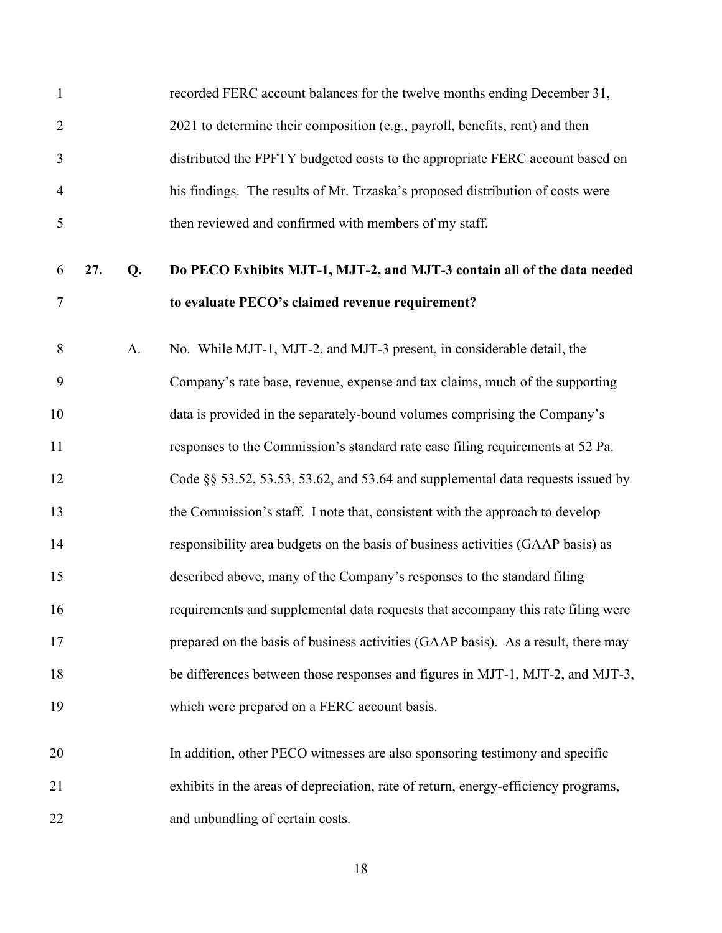| $\mathbf{1}$   |     |    | recorded FERC account balances for the twelve months ending December 31,           |
|----------------|-----|----|------------------------------------------------------------------------------------|
| $\overline{2}$ |     |    | 2021 to determine their composition (e.g., payroll, benefits, rent) and then       |
| 3              |     |    | distributed the FPFTY budgeted costs to the appropriate FERC account based on      |
| $\overline{4}$ |     |    | his findings. The results of Mr. Trzaska's proposed distribution of costs were     |
| 5              |     |    | then reviewed and confirmed with members of my staff.                              |
| 6              | 27. | Q. | Do PECO Exhibits MJT-1, MJT-2, and MJT-3 contain all of the data needed            |
| $\overline{7}$ |     |    | to evaluate PECO's claimed revenue requirement?                                    |
| 8              |     | A. | No. While MJT-1, MJT-2, and MJT-3 present, in considerable detail, the             |
| 9              |     |    | Company's rate base, revenue, expense and tax claims, much of the supporting       |
| 10             |     |    | data is provided in the separately-bound volumes comprising the Company's          |
| 11             |     |    | responses to the Commission's standard rate case filing requirements at 52 Pa.     |
| 12             |     |    | Code §§ 53.52, 53.53, 53.62, and 53.64 and supplemental data requests issued by    |
| 13             |     |    | the Commission's staff. I note that, consistent with the approach to develop       |
| 14             |     |    | responsibility area budgets on the basis of business activities (GAAP basis) as    |
| 15             |     |    | described above, many of the Company's responses to the standard filing            |
| 16             |     |    | requirements and supplemental data requests that accompany this rate filing were   |
| 17             |     |    | prepared on the basis of business activities (GAAP basis). As a result, there may  |
| 18             |     |    | be differences between those responses and figures in MJT-1, MJT-2, and MJT-3,     |
| 19             |     |    | which were prepared on a FERC account basis.                                       |
| 20             |     |    | In addition, other PECO witnesses are also sponsoring testimony and specific       |
| 21             |     |    | exhibits in the areas of depreciation, rate of return, energy-efficiency programs, |
| 22             |     |    | and unbundling of certain costs.                                                   |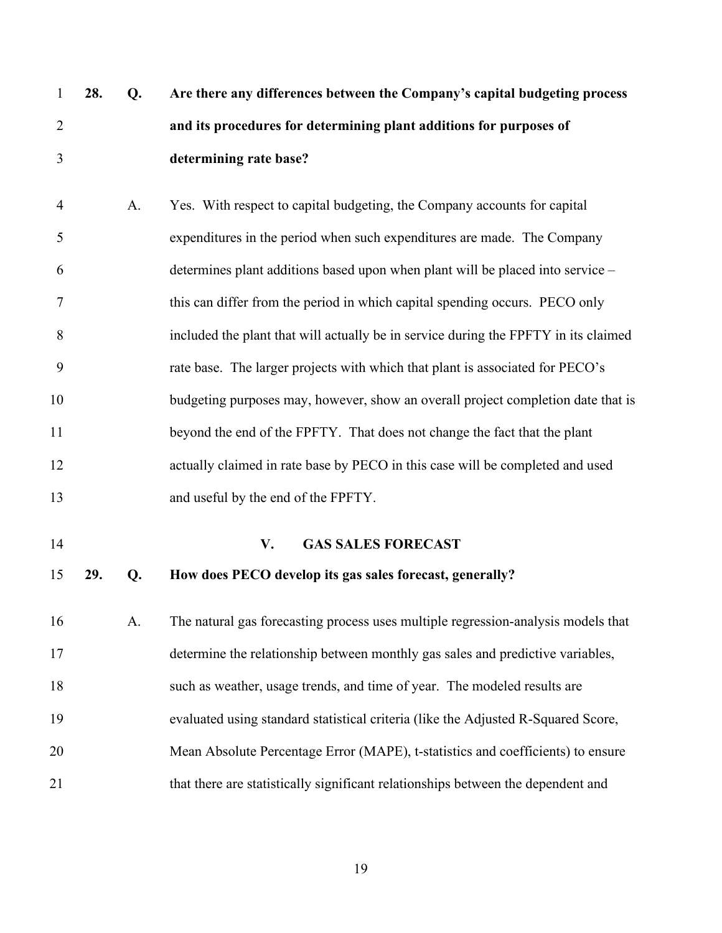| $\mathbf{1}$   | 28. | Q. | Are there any differences between the Company's capital budgeting process           |
|----------------|-----|----|-------------------------------------------------------------------------------------|
| $\overline{2}$ |     |    | and its procedures for determining plant additions for purposes of                  |
| 3              |     |    | determining rate base?                                                              |
| $\overline{4}$ |     | A. | Yes. With respect to capital budgeting, the Company accounts for capital            |
| 5              |     |    | expenditures in the period when such expenditures are made. The Company             |
| 6              |     |    | determines plant additions based upon when plant will be placed into service -      |
| $\overline{7}$ |     |    | this can differ from the period in which capital spending occurs. PECO only         |
| 8              |     |    | included the plant that will actually be in service during the FPFTY in its claimed |
| 9              |     |    | rate base. The larger projects with which that plant is associated for PECO's       |
| 10             |     |    | budgeting purposes may, however, show an overall project completion date that is    |
| 11             |     |    | beyond the end of the FPFTY. That does not change the fact that the plant           |
| 12             |     |    | actually claimed in rate base by PECO in this case will be completed and used       |
| 13             |     |    | and useful by the end of the FPFTY.                                                 |
| 14             |     |    | V.<br><b>GAS SALES FORECAST</b>                                                     |
| 15             | 29. | Q. | How does PECO develop its gas sales forecast, generally?                            |
| 16             |     | A. | The natural gas forecasting process uses multiple regression-analysis models that   |
| 17             |     |    | determine the relationship between monthly gas sales and predictive variables,      |
| 18             |     |    | such as weather, usage trends, and time of year. The modeled results are            |
| 19             |     |    | evaluated using standard statistical criteria (like the Adjusted R-Squared Score,   |
| 20             |     |    | Mean Absolute Percentage Error (MAPE), t-statistics and coefficients) to ensure     |
| 21             |     |    | that there are statistically significant relationships between the dependent and    |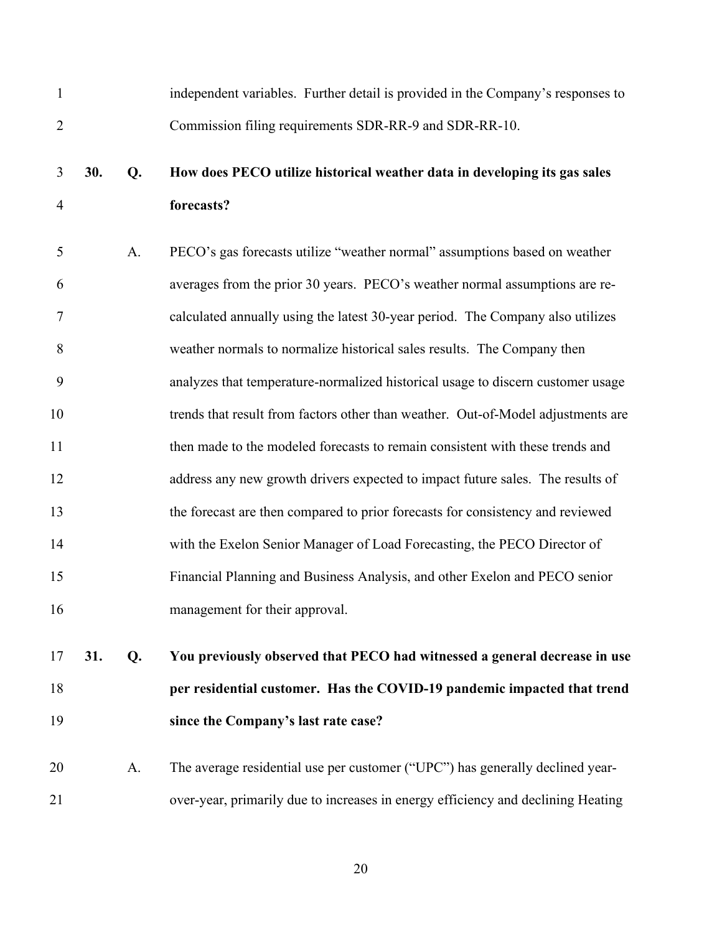| $\mathbf{1}$   |     |    | independent variables. Further detail is provided in the Company's responses to  |
|----------------|-----|----|----------------------------------------------------------------------------------|
| $\overline{2}$ |     |    | Commission filing requirements SDR-RR-9 and SDR-RR-10.                           |
| 3              | 30. | Q. | How does PECO utilize historical weather data in developing its gas sales        |
| $\overline{4}$ |     |    | forecasts?                                                                       |
| 5              |     | A. | PECO's gas forecasts utilize "weather normal" assumptions based on weather       |
| 6              |     |    | averages from the prior 30 years. PECO's weather normal assumptions are re-      |
| 7              |     |    | calculated annually using the latest 30-year period. The Company also utilizes   |
| 8              |     |    | weather normals to normalize historical sales results. The Company then          |
| 9              |     |    | analyzes that temperature-normalized historical usage to discern customer usage  |
| 10             |     |    | trends that result from factors other than weather. Out-of-Model adjustments are |
| 11             |     |    | then made to the modeled forecasts to remain consistent with these trends and    |
| 12             |     |    | address any new growth drivers expected to impact future sales. The results of   |
| 13             |     |    | the forecast are then compared to prior forecasts for consistency and reviewed   |
| 14             |     |    | with the Exelon Senior Manager of Load Forecasting, the PECO Director of         |
| 15             |     |    | Financial Planning and Business Analysis, and other Exelon and PECO senior       |
| 16             |     |    | management for their approval.                                                   |
| 17             | 31. | Q. | You previously observed that PECO had witnessed a general decrease in use        |
| 18             |     |    | per residential customer. Has the COVID-19 pandemic impacted that trend          |
| 19             |     |    | since the Company's last rate case?                                              |

20 A. The average residential use per customer ("UPC") has generally declined year-21 over-year, primarily due to increases in energy efficiency and declining Heating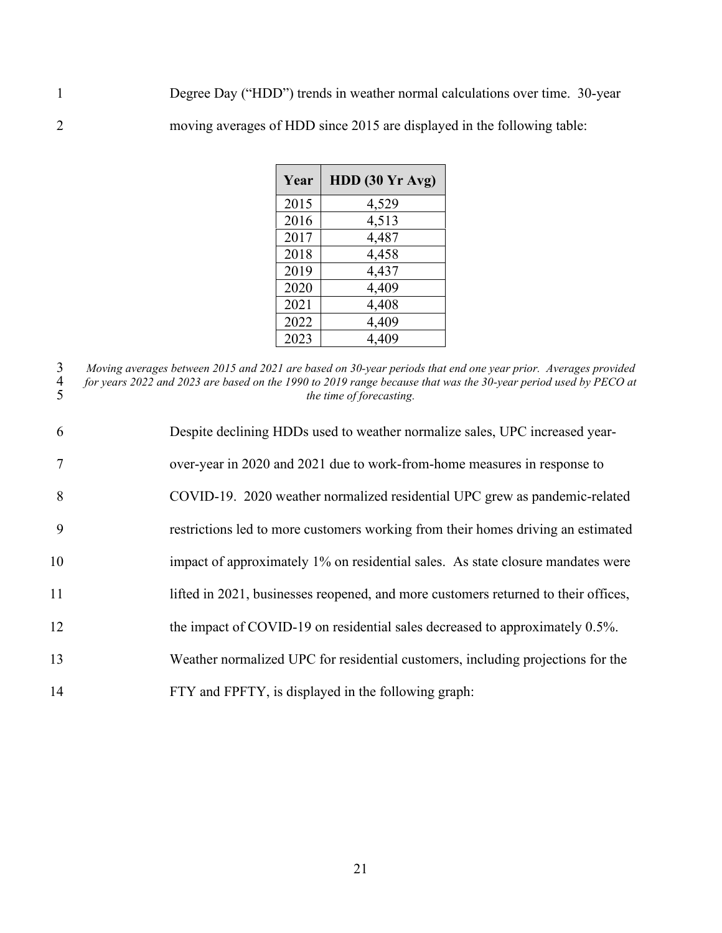1 Degree Day ("HDD") trends in weather normal calculations over time. 30-year 2 moving averages of HDD since 2015 are displayed in the following table:

| Year | $HDD$ (30 $Yr$ Avg) |
|------|---------------------|
| 2015 | 4,529               |
| 2016 | 4,513               |
| 2017 | 4,487               |
| 2018 | 4,458               |
| 2019 | 4,437               |
| 2020 | 4,409               |
| 2021 | 4,408               |
| 2022 | 4,409               |
| 2023 | 4,409               |

3 *Moving averages between 2015 and 2021 are based on 30-year periods that end one year prior. Averages provided*  4 *for years 2022 and 2023 are based on the 1990 to 2019 range because that was the 30-year period used by PECO at*  5 *the time of forecasting.* 

| 6      | Despite declining HDDs used to weather normalize sales, UPC increased year-        |
|--------|------------------------------------------------------------------------------------|
| $\tau$ | over-year in 2020 and 2021 due to work-from-home measures in response to           |
| 8      | COVID-19. 2020 weather normalized residential UPC grew as pandemic-related         |
| 9      | restrictions led to more customers working from their homes driving an estimated   |
| 10     | impact of approximately 1% on residential sales. As state closure mandates were    |
| 11     | lifted in 2021, businesses reopened, and more customers returned to their offices, |
| 12     | the impact of COVID-19 on residential sales decreased to approximately 0.5%.       |
| 13     | Weather normalized UPC for residential customers, including projections for the    |
| 14     | FTY and FPFTY, is displayed in the following graph:                                |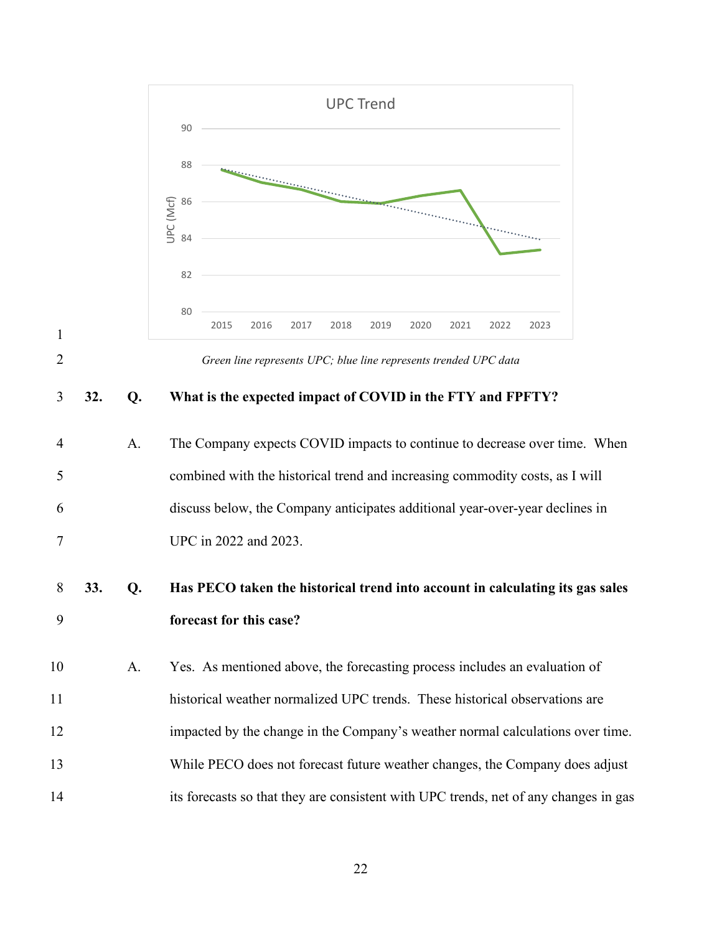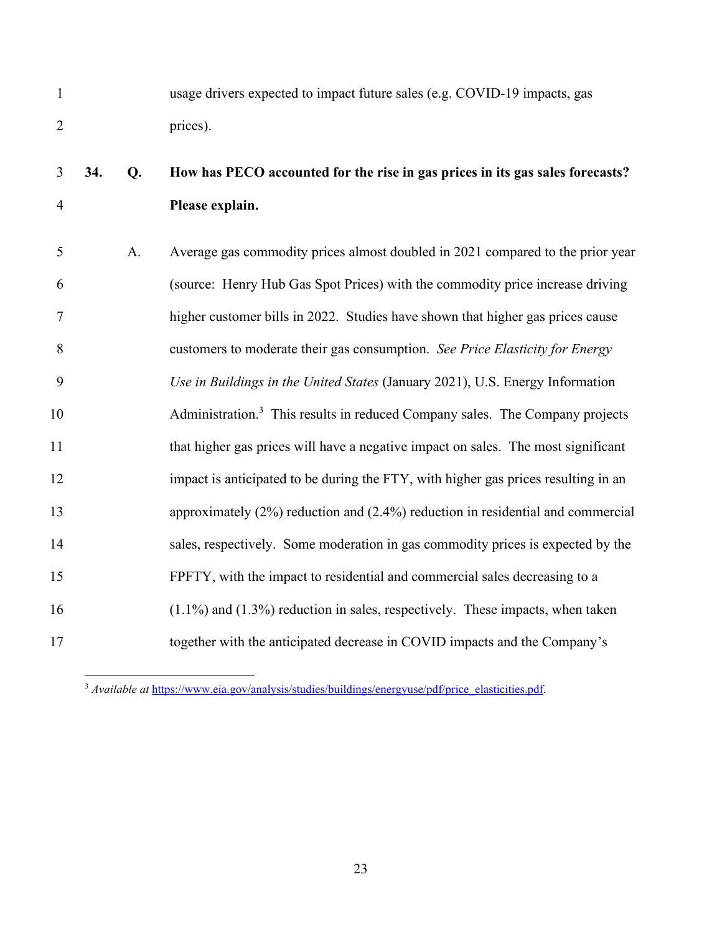1 usage drivers expected to impact future sales (e.g. COVID-19 impacts, gas 2 prices).

# 3 **34. Q. How has PECO accounted for the rise in gas prices in its gas sales forecasts?**  4 **Please explain.**

5 A. Average gas commodity prices almost doubled in 2021 compared to the prior year 6 (source: Henry Hub Gas Spot Prices) with the commodity price increase driving 7 higher customer bills in 2022. Studies have shown that higher gas prices cause 8 customers to moderate their gas consumption. *See Price Elasticity for Energy*  9 *Use in Buildings in the United States* (January 2021), U.S. Energy Information 10 Administration.<sup>3</sup> This results in reduced Company sales. The Company projects 11 that higher gas prices will have a negative impact on sales. The most significant 12 impact is anticipated to be during the FTY, with higher gas prices resulting in an 13 approximately (2%) reduction and (2.4%) reduction in residential and commercial 14 sales, respectively. Some moderation in gas commodity prices is expected by the 15 FPFTY, with the impact to residential and commercial sales decreasing to a 16 (1.1%) and (1.3%) reduction in sales, respectively. These impacts, when taken 17 together with the anticipated decrease in COVID impacts and the Company's

<span id="page-24-0"></span><sup>3</sup> *Available at* https://www.eia.gov/analysis/studies/buildings/energyuse/pdf/price\_elasticities.pdf.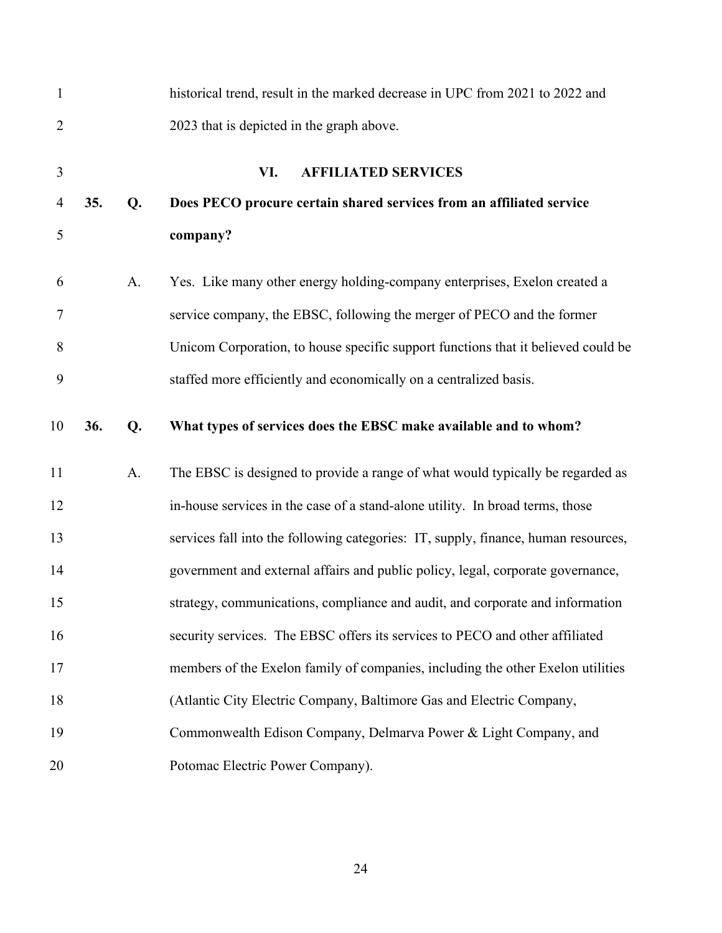| $\mathbf{1}$   |     |    | historical trend, result in the marked decrease in UPC from 2021 to 2022 and       |
|----------------|-----|----|------------------------------------------------------------------------------------|
| $\overline{2}$ |     |    | 2023 that is depicted in the graph above.                                          |
| 3              |     |    | VI.<br><b>AFFILIATED SERVICES</b>                                                  |
| $\overline{4}$ | 35. | Q. | Does PECO procure certain shared services from an affiliated service               |
| 5              |     |    | company?                                                                           |
| 6              |     | A. | Yes. Like many other energy holding-company enterprises, Exelon created a          |
| 7              |     |    | service company, the EBSC, following the merger of PECO and the former             |
| 8              |     |    | Unicom Corporation, to house specific support functions that it believed could be  |
| 9              |     |    | staffed more efficiently and economically on a centralized basis.                  |
| 10             | 36. | Q. | What types of services does the EBSC make available and to whom?                   |
| 11             |     | A. | The EBSC is designed to provide a range of what would typically be regarded as     |
| 12             |     |    | in-house services in the case of a stand-alone utility. In broad terms, those      |
| 13             |     |    | services fall into the following categories: IT, supply, finance, human resources, |
| 14             |     |    | government and external affairs and public policy, legal, corporate governance,    |
| 15             |     |    | strategy, communications, compliance and audit, and corporate and information      |
| 16             |     |    | security services. The EBSC offers its services to PECO and other affiliated       |
| 17             |     |    | members of the Exelon family of companies, including the other Exelon utilities    |
| 18             |     |    | (Atlantic City Electric Company, Baltimore Gas and Electric Company,               |
| 19             |     |    | Commonwealth Edison Company, Delmarva Power & Light Company, and                   |
| 20             |     |    | Potomac Electric Power Company).                                                   |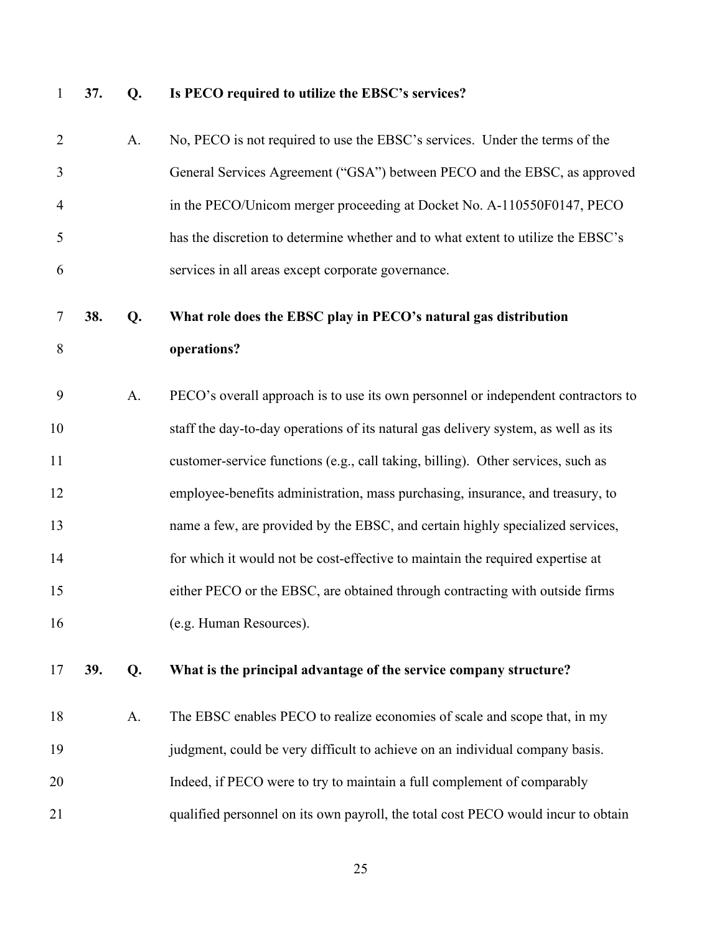## 1 **37. Q. Is PECO required to utilize the EBSC's services?**

| $\overline{2}$ |     | A. | No, PECO is not required to use the EBSC's services. Under the terms of the        |
|----------------|-----|----|------------------------------------------------------------------------------------|
| 3              |     |    | General Services Agreement ("GSA") between PECO and the EBSC, as approved          |
| $\overline{4}$ |     |    | in the PECO/Unicom merger proceeding at Docket No. A-110550F0147, PECO             |
| 5              |     |    | has the discretion to determine whether and to what extent to utilize the EBSC's   |
| 6              |     |    | services in all areas except corporate governance.                                 |
| 7              | 38. | Q. | What role does the EBSC play in PECO's natural gas distribution                    |
| 8              |     |    | operations?                                                                        |
| 9              |     | A. | PECO's overall approach is to use its own personnel or independent contractors to  |
| 10             |     |    | staff the day-to-day operations of its natural gas delivery system, as well as its |
| 11             |     |    | customer-service functions (e.g., call taking, billing). Other services, such as   |
| 12             |     |    | employee-benefits administration, mass purchasing, insurance, and treasury, to     |
| 13             |     |    | name a few, are provided by the EBSC, and certain highly specialized services,     |
| 14             |     |    | for which it would not be cost-effective to maintain the required expertise at     |
| 15             |     |    | either PECO or the EBSC, are obtained through contracting with outside firms       |
| 16             |     |    | (e.g. Human Resources).                                                            |
|                |     |    |                                                                                    |

17 **39. Q. What is the principal advantage of the service company structure?** 

18 A. The EBSC enables PECO to realize economies of scale and scope that, in my 19 judgment, could be very difficult to achieve on an individual company basis. 20 Indeed, if PECO were to try to maintain a full complement of comparably 21 qualified personnel on its own payroll, the total cost PECO would incur to obtain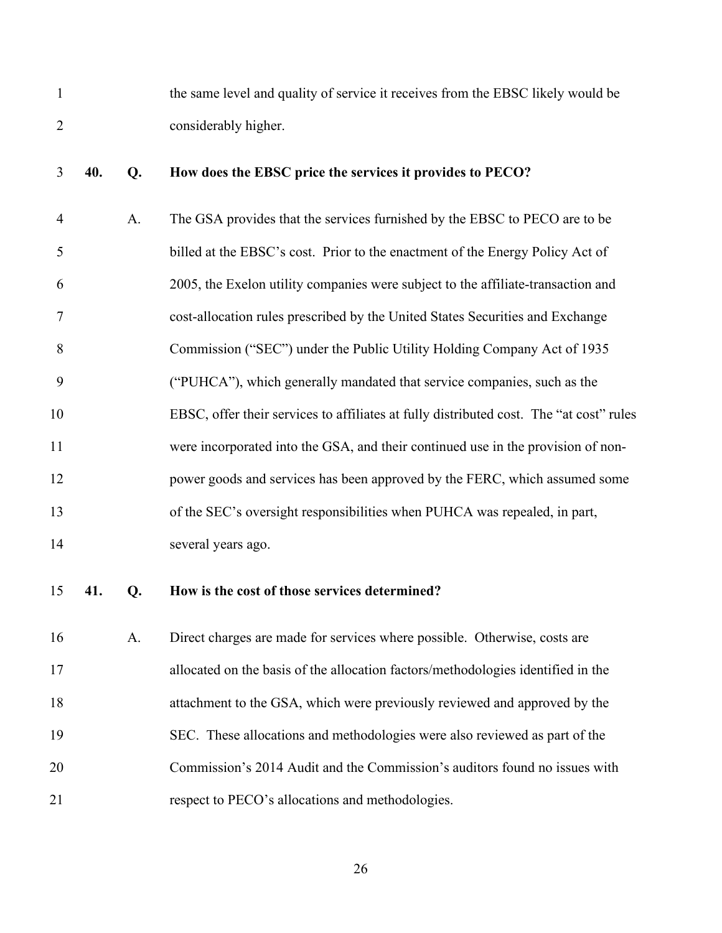| the same level and quality of service it receives from the EBSC likely would be |
|---------------------------------------------------------------------------------|
| considerably higher.                                                            |

### 3 **40. Q. How does the EBSC price the services it provides to PECO?**

4 A. The GSA provides that the services furnished by the EBSC to PECO are to be 5 billed at the EBSC's cost. Prior to the enactment of the Energy Policy Act of 6 2005, the Exelon utility companies were subject to the affiliate-transaction and 7 cost-allocation rules prescribed by the United States Securities and Exchange 8 Commission ("SEC") under the Public Utility Holding Company Act of 1935 9 ("PUHCA"), which generally mandated that service companies, such as the 10 EBSC, offer their services to affiliates at fully distributed cost. The "at cost" rules 11 were incorporated into the GSA, and their continued use in the provision of non-12 power goods and services has been approved by the FERC, which assumed some 13 of the SEC's oversight responsibilities when PUHCA was repealed, in part, 14 several years ago.

### 15 **41. Q. How is the cost of those services determined?**

16 A. Direct charges are made for services where possible. Otherwise, costs are 17 allocated on the basis of the allocation factors/methodologies identified in the 18 attachment to the GSA, which were previously reviewed and approved by the 19 SEC. These allocations and methodologies were also reviewed as part of the 20 Commission's 2014 Audit and the Commission's auditors found no issues with 21 respect to PECO's allocations and methodologies.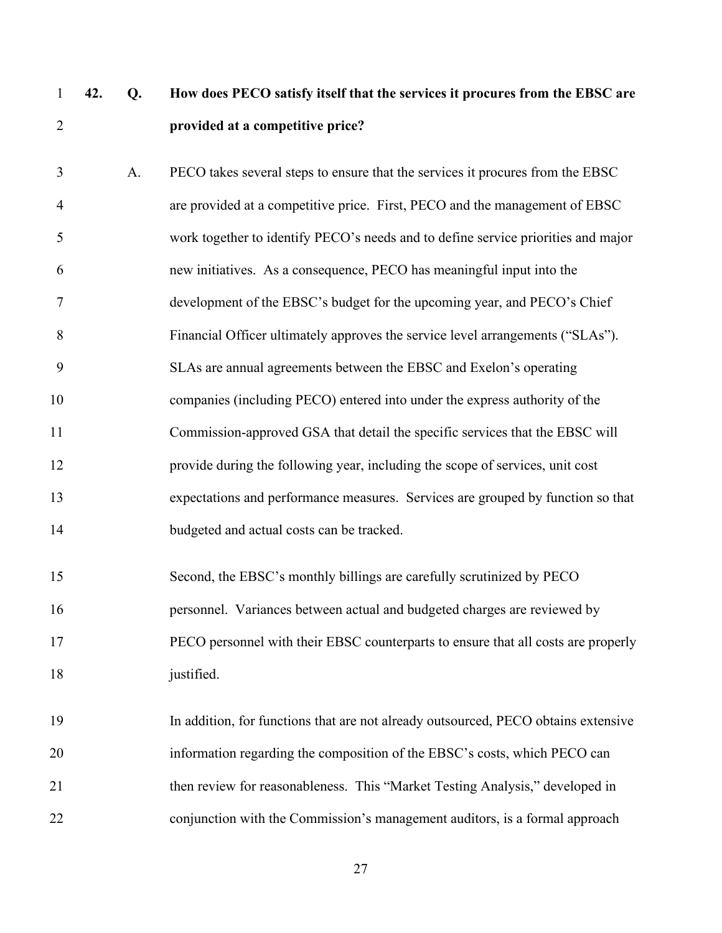# 1 **42. Q. How does PECO satisfy itself that the services it procures from the EBSC are**  2 **provided at a competitive price?**

| 3              | A. | PECO takes several steps to ensure that the services it procures from the EBSC     |
|----------------|----|------------------------------------------------------------------------------------|
| $\overline{4}$ |    | are provided at a competitive price. First, PECO and the management of EBSC        |
| 5              |    | work together to identify PECO's needs and to define service priorities and major  |
| 6              |    | new initiatives. As a consequence, PECO has meaningful input into the              |
| 7              |    | development of the EBSC's budget for the upcoming year, and PECO's Chief           |
| 8              |    | Financial Officer ultimately approves the service level arrangements ("SLAs").     |
| 9              |    | SLAs are annual agreements between the EBSC and Exelon's operating                 |
| 10             |    | companies (including PECO) entered into under the express authority of the         |
| 11             |    | Commission-approved GSA that detail the specific services that the EBSC will       |
| 12             |    | provide during the following year, including the scope of services, unit cost      |
| 13             |    | expectations and performance measures. Services are grouped by function so that    |
| 14             |    | budgeted and actual costs can be tracked.                                          |
| 15             |    | Second, the EBSC's monthly billings are carefully scrutinized by PECO              |
|                |    |                                                                                    |
| 16             |    | personnel. Variances between actual and budgeted charges are reviewed by           |
| 17             |    | PECO personnel with their EBSC counterparts to ensure that all costs are properly  |
| 18             |    | justified.                                                                         |
| 19             |    | In addition, for functions that are not already outsourced, PECO obtains extensive |
|                |    |                                                                                    |
| 20             |    | information regarding the composition of the EBSC's costs, which PECO can          |
| 21             |    | then review for reasonableness. This "Market Testing Analysis," developed in       |

22 conjunction with the Commission's management auditors, is a formal approach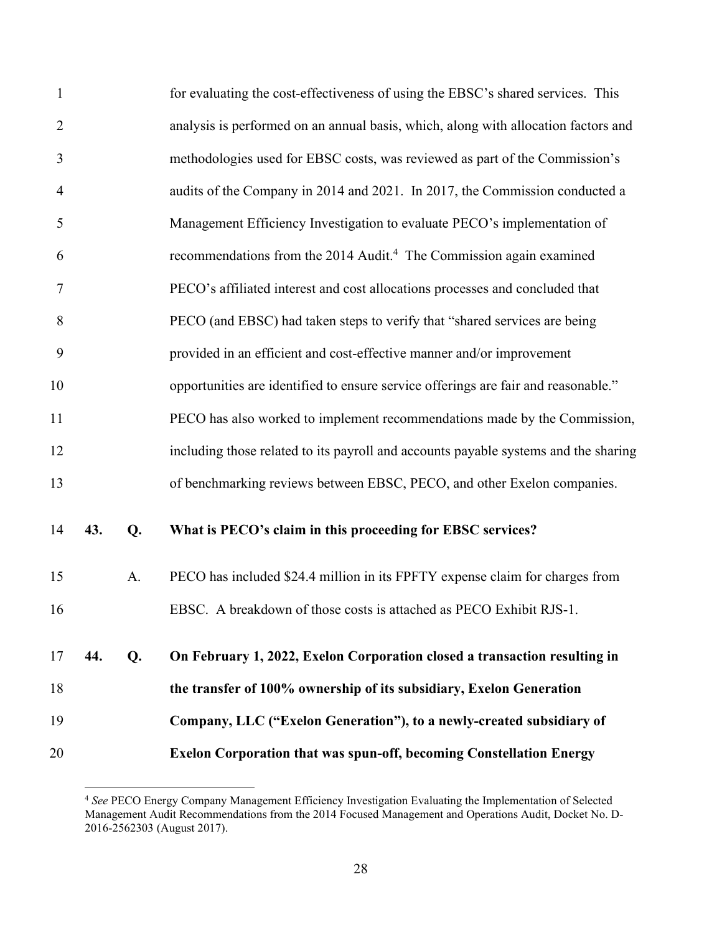| $\mathbf{1}$   |     |    | for evaluating the cost-effectiveness of using the EBSC's shared services. This     |
|----------------|-----|----|-------------------------------------------------------------------------------------|
| $\overline{2}$ |     |    | analysis is performed on an annual basis, which, along with allocation factors and  |
| 3              |     |    | methodologies used for EBSC costs, was reviewed as part of the Commission's         |
| 4              |     |    | audits of the Company in 2014 and 2021. In 2017, the Commission conducted a         |
| 5              |     |    | Management Efficiency Investigation to evaluate PECO's implementation of            |
| 6              |     |    | recommendations from the 2014 Audit. <sup>4</sup> The Commission again examined     |
| 7              |     |    | PECO's affiliated interest and cost allocations processes and concluded that        |
| 8              |     |    | PECO (and EBSC) had taken steps to verify that "shared services are being           |
| 9              |     |    | provided in an efficient and cost-effective manner and/or improvement               |
| 10             |     |    | opportunities are identified to ensure service offerings are fair and reasonable."  |
| 11             |     |    | PECO has also worked to implement recommendations made by the Commission,           |
| 12             |     |    | including those related to its payroll and accounts payable systems and the sharing |
| 13             |     |    | of benchmarking reviews between EBSC, PECO, and other Exelon companies.             |
| 14             | 43. | Q. | What is PECO's claim in this proceeding for EBSC services?                          |
| 15             |     | A. | PECO has included \$24.4 million in its FPFTY expense claim for charges from        |
| 16             |     |    | EBSC. A breakdown of those costs is attached as PECO Exhibit RJS-1.                 |
| 17             | 44. | Q. | On February 1, 2022, Exelon Corporation closed a transaction resulting in           |
| 18             |     |    | the transfer of 100% ownership of its subsidiary, Exelon Generation                 |
| 19             |     |    | Company, LLC ("Exelon Generation"), to a newly-created subsidiary of                |
| 20             |     |    | <b>Exelon Corporation that was spun-off, becoming Constellation Energy</b>          |

<span id="page-29-0"></span><sup>4</sup>  *See* PECO Energy Company Management Efficiency Investigation Evaluating the Implementation of Selected Management Audit Recommendations from the 2014 Focused Management and Operations Audit, Docket No. D-2016-2562303 (August 2017).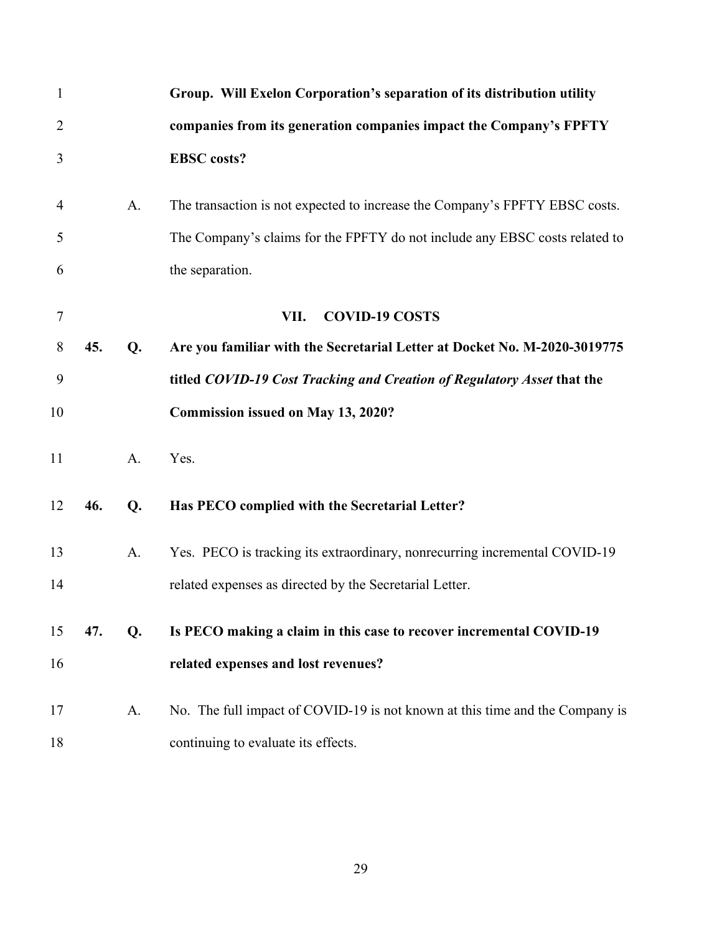| $\mathbf{1}$   |     |    | Group. Will Exelon Corporation's separation of its distribution utility      |
|----------------|-----|----|------------------------------------------------------------------------------|
| $\overline{2}$ |     |    | companies from its generation companies impact the Company's FPFTY           |
| 3              |     |    | <b>EBSC</b> costs?                                                           |
| $\overline{4}$ |     | A. | The transaction is not expected to increase the Company's FPFTY EBSC costs.  |
| 5              |     |    | The Company's claims for the FPFTY do not include any EBSC costs related to  |
| 6              |     |    | the separation.                                                              |
| $\tau$         |     |    | <b>COVID-19 COSTS</b><br>VII.                                                |
| 8              | 45. | Q. | Are you familiar with the Secretarial Letter at Docket No. M-2020-3019775    |
| 9              |     |    | titled COVID-19 Cost Tracking and Creation of Regulatory Asset that the      |
| 10             |     |    | <b>Commission issued on May 13, 2020?</b>                                    |
| 11             |     | A. | Yes.                                                                         |
| 12             | 46. | Q. | Has PECO complied with the Secretarial Letter?                               |
| 13             |     | A. | Yes. PECO is tracking its extraordinary, nonrecurring incremental COVID-19   |
| 14             |     |    | related expenses as directed by the Secretarial Letter.                      |
| 15             | 47. | Q. | Is PECO making a claim in this case to recover incremental COVID-19          |
| 16             |     |    | related expenses and lost revenues?                                          |
| 17             |     | A. | No. The full impact of COVID-19 is not known at this time and the Company is |
| 18             |     |    | continuing to evaluate its effects.                                          |